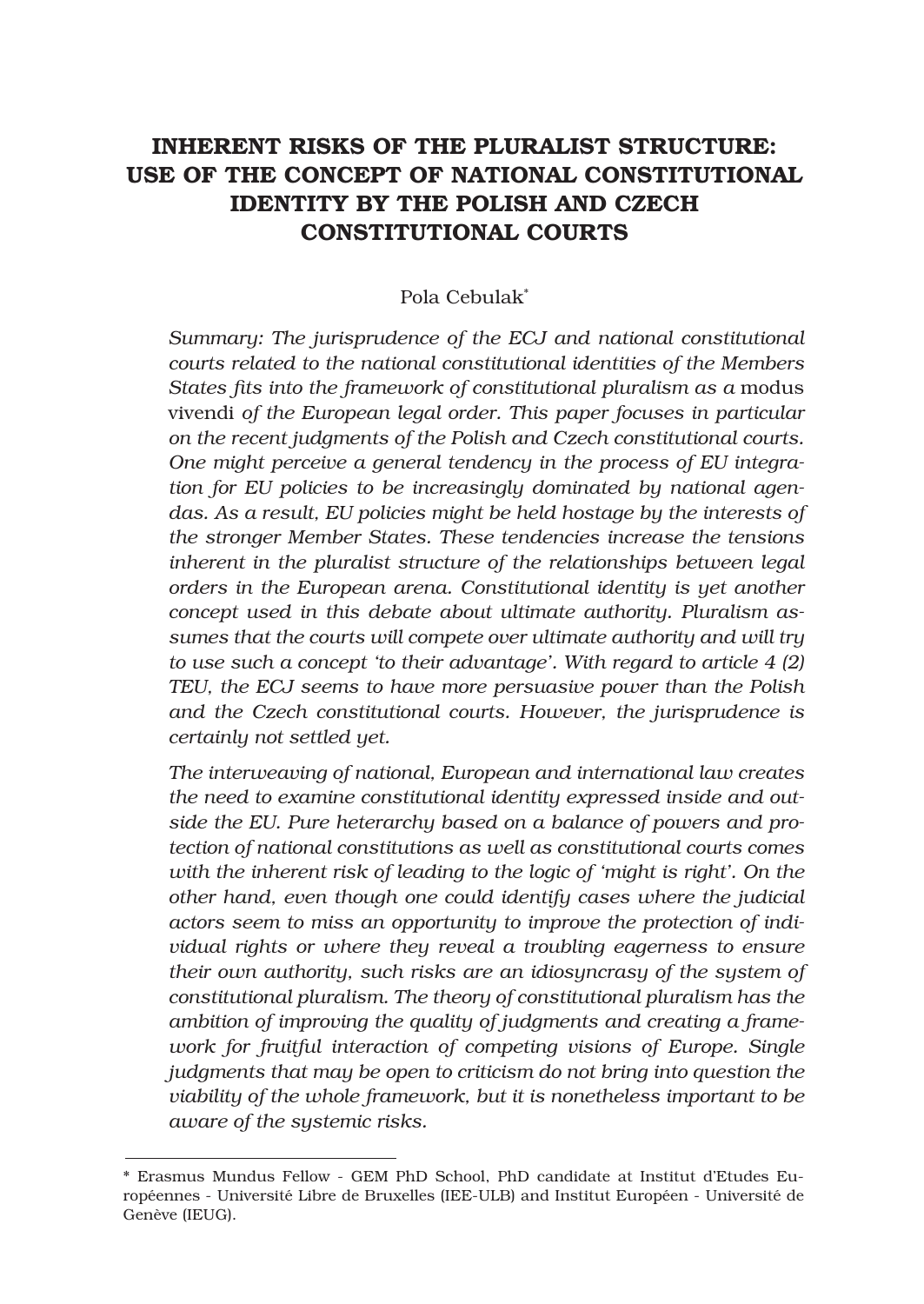# INHERENT RISKS OF THE PLURALIST STRUCTURE: USE OF THE CONCEPT OF NATIONAL CONSTITUTIONAL IDENTITY BY THE POLISH AND CZECH CONSTITUTIONAL COURTS

# Pola Cebulak\*

*Summary: The jurisprudence of the ECJ and national constitutional courts related to the national constitutional identities of the Members*  States fits into the framework of constitutional pluralism as a modus vivendi *of the European legal order. This paper focuses in particular on the recent judgments of the Polish and Czech constitutional courts. One might perceive a general tendency in the process of EU integration for EU policies to be increasingly dominated by national agendas. As a result, EU policies might be held hostage by the interests of the stronger Member States. These tendencies increase the tensions inherent in the pluralist structure of the relationships between legal orders in the European arena. Constitutional identity is yet another concept used in this debate about ultimate authority. Pluralism assumes that the courts will compete over ultimate authority and will try to use such a concept 'to their advantage'. With regard to article 4 (2) TEU, the ECJ seems to have more persuasive power than the Polish and the Czech constitutional courts. However, the jurisprudence is certainly not settled yet.*

*The interweaving of national, European and international law creates the need to examine constitutional identity expressed inside and outside the EU. Pure heterarchy based on a balance of powers and protection of national constitutions as well as constitutional courts comes with the inherent risk of leading to the logic of 'might is right'. On the other hand, even though one could identify cases where the judicial actors seem to miss an opportunity to improve the protection of individual rights or where they reveal a troubling eagerness to ensure their own authority, such risks are an idiosyncrasy of the system of constitutional pluralism. The theory of constitutional pluralism has the ambition of improving the quality of judgments and creating a framework for fruitful interaction of competing visions of Europe. Single judgments that may be open to criticism do not bring into question the viability of the whole framework, but it is nonetheless important to be aware of the systemic risks.*

<sup>\*</sup> Erasmus Mundus Fellow - GEM PhD School, PhD candidate at Institut d'Etudes Européennes - Université Libre de Bruxelles (IEE-ULB) and Institut Européen - Université de Genève (IEUG).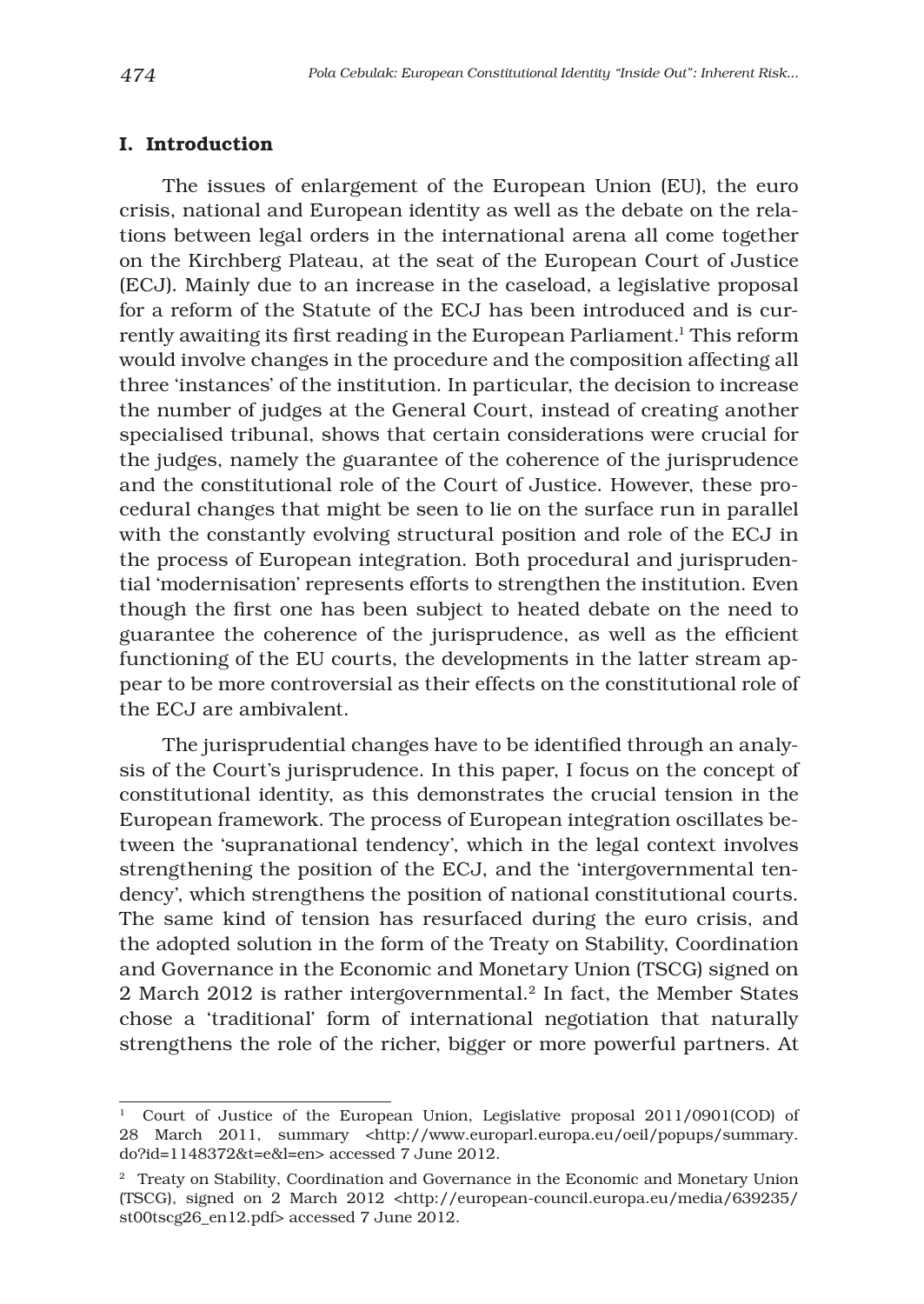### I. Introduction

The issues of enlargement of the European Union (EU), the euro crisis, national and European identity as well as the debate on the relations between legal orders in the international arena all come together on the Kirchberg Plateau, at the seat of the European Court of Justice (ECJ). Mainly due to an increase in the caseload, a legislative proposal for a reform of the Statute of the ECJ has been introduced and is currently awaiting its first reading in the European Parliament.<sup>1</sup> This reform would involve changes in the procedure and the composition affecting all three 'instances' of the institution. In particular, the decision to increase the number of judges at the General Court, instead of creating another specialised tribunal, shows that certain considerations were crucial for the judges, namely the guarantee of the coherence of the jurisprudence and the constitutional role of the Court of Justice. However, these procedural changes that might be seen to lie on the surface run in parallel with the constantly evolving structural position and role of the ECJ in the process of European integration. Both procedural and jurisprudential 'modernisation' represents efforts to strengthen the institution. Even though the first one has been subject to heated debate on the need to guarantee the coherence of the jurisprudence, as well as the efficient functioning of the EU courts, the developments in the latter stream appear to be more controversial as their effects on the constitutional role of the ECJ are ambivalent.

The jurisprudential changes have to be identified through an analysis of the Court's jurisprudence. In this paper, I focus on the concept of constitutional identity, as this demonstrates the crucial tension in the European framework. The process of European integration oscillates between the 'supranational tendency', which in the legal context involves strengthening the position of the ECJ, and the 'intergovernmental tendency', which strengthens the position of national constitutional courts. The same kind of tension has resurfaced during the euro crisis, and the adopted solution in the form of the Treaty on Stability, Coordination and Governance in the Economic and Monetary Union (TSCG) signed on 2 March 2012 is rather intergovernmental.<sup>2</sup> In fact, the Member States chose a 'traditional' form of international negotiation that naturally strengthens the role of the richer, bigger or more powerful partners. At

<sup>&</sup>lt;sup>1</sup> Court of Justice of the European Union, Legislative proposal 2011/0901(COD) of 28 March 2011, summary <http://www.europarl.europa.eu/oeil/popups/summary. do?id=1148372&t=e&l=en> accessed 7 June 2012.

<sup>&</sup>lt;sup>2</sup> Treaty on Stability, Coordination and Governance in the Economic and Monetary Union (TSCG), signed on 2 March 2012 <http://european-council.europa.eu/media/639235/ st00tscg26\_en12.pdf> accessed 7 June 2012.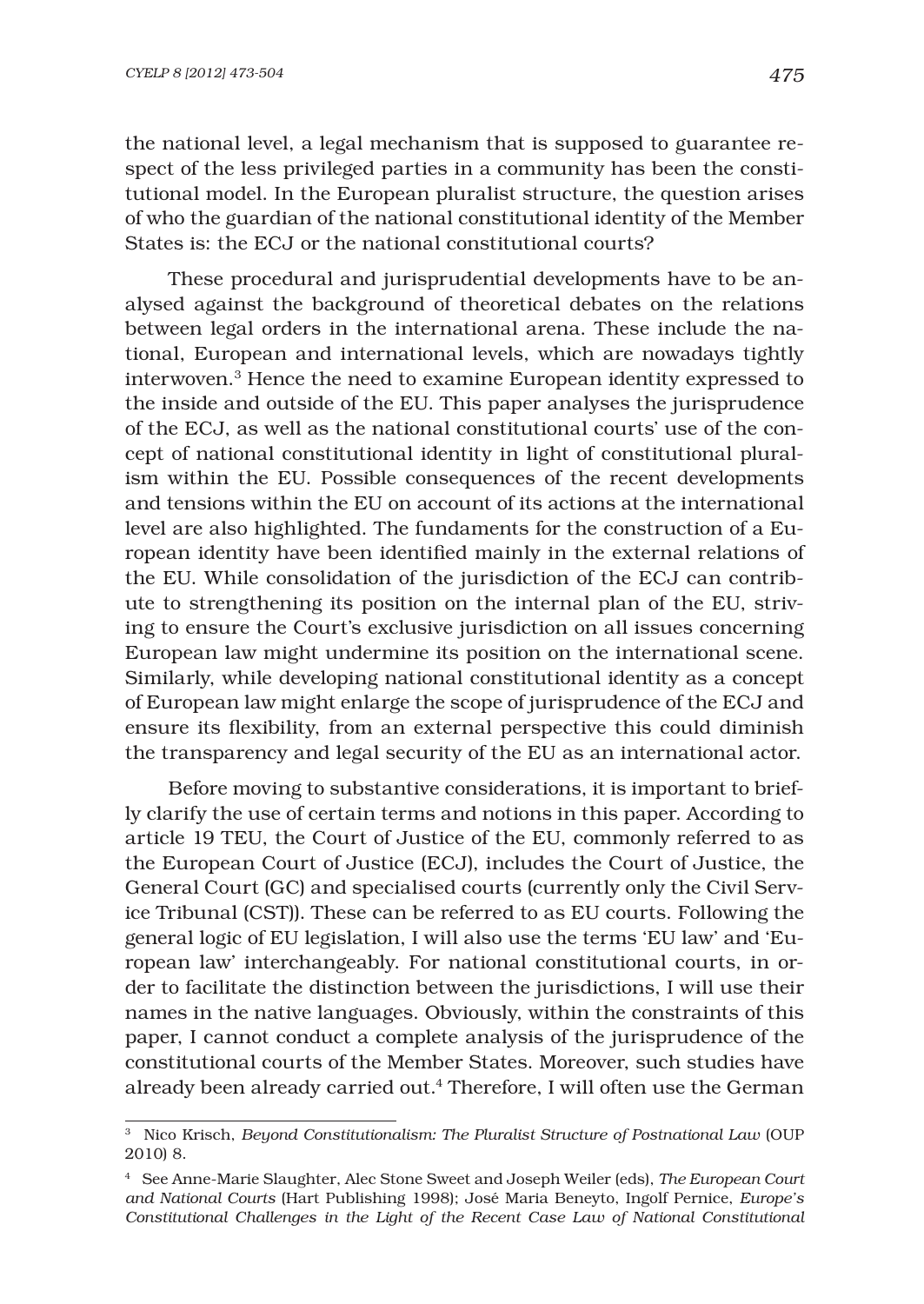the national level, a legal mechanism that is supposed to guarantee respect of the less privileged parties in a community has been the constitutional model. In the European pluralist structure, the question arises of who the guardian of the national constitutional identity of the Member States is: the ECJ or the national constitutional courts?

These procedural and jurisprudential developments have to be analysed against the background of theoretical debates on the relations between legal orders in the international arena. These include the national, European and international levels, which are nowadays tightly interwoven.3 Hence the need to examine European identity expressed to the inside and outside of the EU. This paper analyses the jurisprudence of the ECJ, as well as the national constitutional courts' use of the concept of national constitutional identity in light of constitutional pluralism within the EU. Possible consequences of the recent developments and tensions within the EU on account of its actions at the international level are also highlighted. The fundaments for the construction of a European identity have been identified mainly in the external relations of the EU. While consolidation of the jurisdiction of the ECJ can contribute to strengthening its position on the internal plan of the EU, striving to ensure the Court's exclusive jurisdiction on all issues concerning European law might undermine its position on the international scene. Similarly, while developing national constitutional identity as a concept of European law might enlarge the scope of jurisprudence of the ECJ and ensure its flexibility, from an external perspective this could diminish the transparency and legal security of the EU as an international actor.

Before moving to substantive considerations, it is important to briefly clarify the use of certain terms and notions in this paper. According to article 19 TEU, the Court of Justice of the EU, commonly referred to as the European Court of Justice (ECJ), includes the Court of Justice, the General Court (GC) and specialised courts (currently only the Civil Service Tribunal (CST)). These can be referred to as EU courts. Following the general logic of EU legislation, I will also use the terms 'EU law' and 'European law' interchangeably. For national constitutional courts, in order to facilitate the distinction between the jurisdictions, I will use their names in the native languages. Obviously, within the constraints of this paper, I cannot conduct a complete analysis of the jurisprudence of the constitutional courts of the Member States. Moreover, such studies have already been already carried out.4 Therefore, I will often use the German

<sup>3</sup> Nico Krisch, *Beyond Constitutionalism: The Pluralist Structure of Postnational Law* (OUP 2010) 8.

<sup>4</sup> See Anne-Marie Slaughter, Alec Stone Sweet and Joseph Weiler (eds), *The European Court and National Courts* (Hart Publishing 1998); José Maria Beneyto, Ingolf Pernice, *Europe's Constitutional Challenges in the Light of the Recent Case Law of National Constitutional*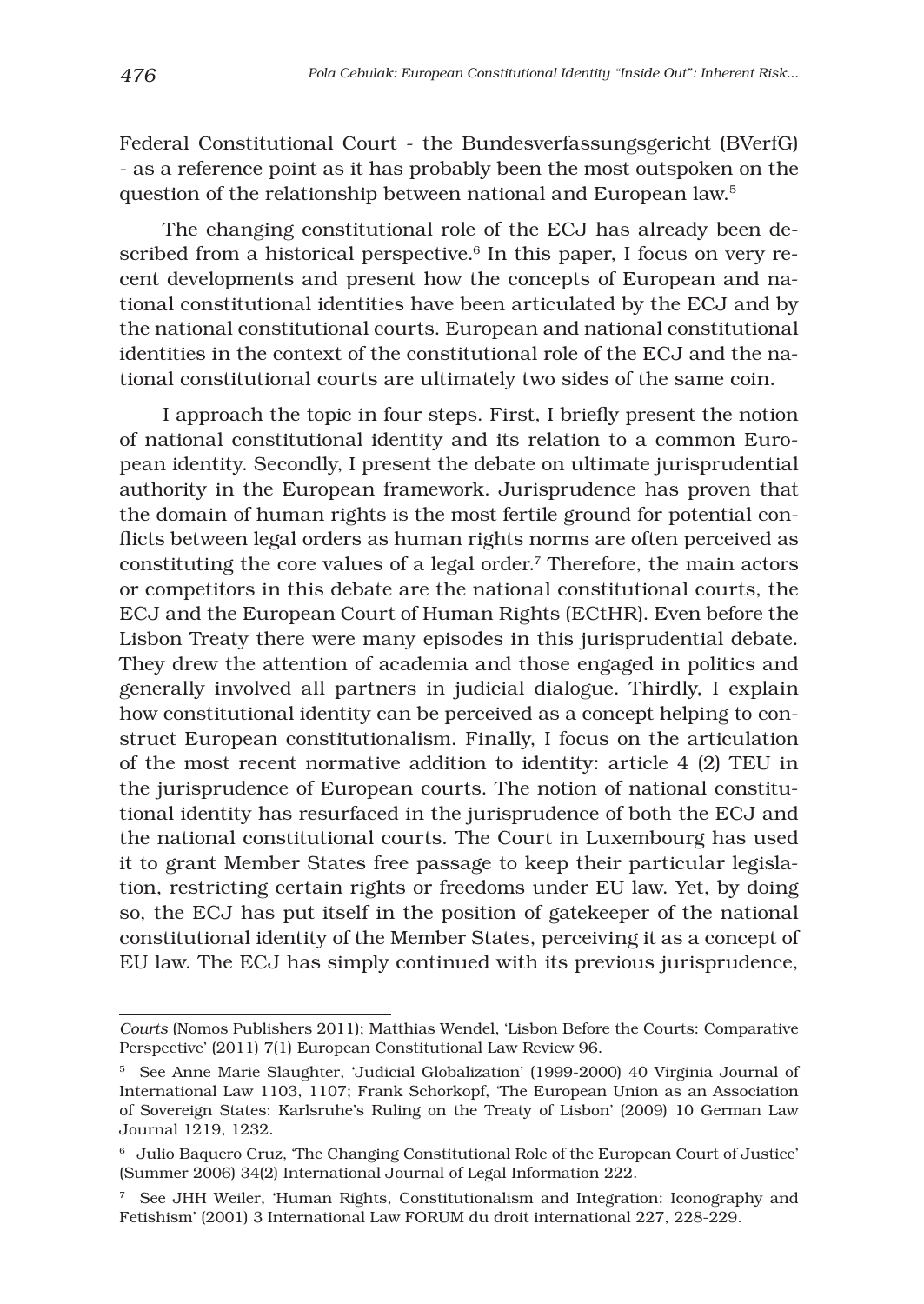Federal Constitutional Court - the Bundesverfassungsgericht (BVerfG) - as a reference point as it has probably been the most outspoken on the question of the relationship between national and European law.5

The changing constitutional role of the ECJ has already been described from a historical perspective.<sup>6</sup> In this paper, I focus on very recent developments and present how the concepts of European and national constitutional identities have been articulated by the ECJ and by the national constitutional courts. European and national constitutional identities in the context of the constitutional role of the ECJ and the national constitutional courts are ultimately two sides of the same coin.

I approach the topic in four steps. First, I briefly present the notion of national constitutional identity and its relation to a common European identity. Secondly, I present the debate on ultimate jurisprudential authority in the European framework. Jurisprudence has proven that the domain of human rights is the most fertile ground for potential conflicts between legal orders as human rights norms are often perceived as constituting the core values of a legal order.7 Therefore, the main actors or competitors in this debate are the national constitutional courts, the ECJ and the European Court of Human Rights (ECtHR). Even before the Lisbon Treaty there were many episodes in this jurisprudential debate. They drew the attention of academia and those engaged in politics and generally involved all partners in judicial dialogue. Thirdly, I explain how constitutional identity can be perceived as a concept helping to construct European constitutionalism. Finally, I focus on the articulation of the most recent normative addition to identity: article 4 (2) TEU in the jurisprudence of European courts. The notion of national constitutional identity has resurfaced in the jurisprudence of both the ECJ and the national constitutional courts. The Court in Luxembourg has used it to grant Member States free passage to keep their particular legislation, restricting certain rights or freedoms under EU law. Yet, by doing so, the ECJ has put itself in the position of gatekeeper of the national constitutional identity of the Member States, perceiving it as a concept of EU law. The ECJ has simply continued with its previous jurisprudence,

*Courts* (Nomos Publishers 2011); Matthias Wendel, 'Lisbon Before the Courts: Comparative Perspective' (2011) 7(1) European Constitutional Law Review 96.

<sup>5</sup> See Anne Marie Slaughter, 'Judicial Globalization' (1999-2000) 40 Virginia Journal of International Law 1103, 1107; Frank Schorkopf, 'The European Union as an Association of Sovereign States: Karlsruhe's Ruling on the Treaty of Lisbon' (2009) 10 German Law Journal 1219, 1232.

<sup>6</sup> Julio Baquero Cruz, 'The Changing Constitutional Role of the European Court of Justice' (Summer 2006) 34(2) International Journal of Legal Information 222.

<sup>7</sup> See JHH Weiler, 'Human Rights, Constitutionalism and Integration: Iconography and Fetishism' (2001) 3 International Law FORUM du droit international 227, 228-229.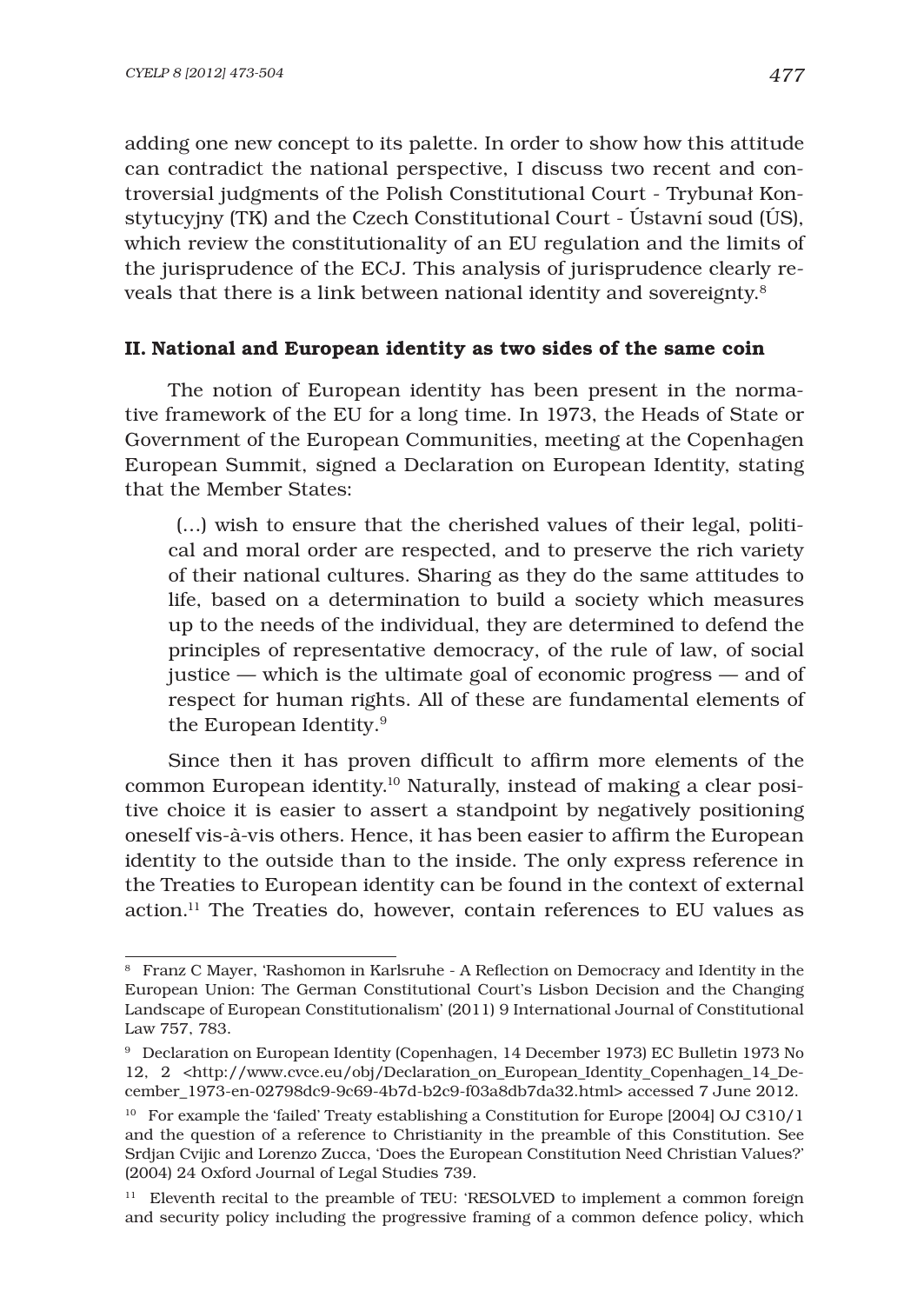adding one new concept to its palette. In order to show how this attitude can contradict the national perspective, I discuss two recent and controversial judgments of the Polish Constitutional Court - Trybunał Konstytucyjny (TK) and the Czech Constitutional Court - Ústavní soud (ÚS), which review the constitutionality of an EU regulation and the limits of the jurisprudence of the ECJ. This analysis of jurisprudence clearly reveals that there is a link between national identity and sovereignty.8

### II. National and European identity as two sides of the same coin

The notion of European identity has been present in the normative framework of the EU for a long time. In 1973, the Heads of State or Government of the European Communities, meeting at the Copenhagen European Summit, signed a Declaration on European Identity, stating that the Member States:

 (…) wish to ensure that the cherished values of their legal, political and moral order are respected, and to preserve the rich variety of their national cultures. Sharing as they do the same attitudes to life, based on a determination to build a society which measures up to the needs of the individual, they are determined to defend the principles of representative democracy, of the rule of law, of social justice — which is the ultimate goal of economic progress — and of respect for human rights. All of these are fundamental elements of the European Identity.9

Since then it has proven difficult to affirm more elements of the common European identity.10 Naturally, instead of making a clear positive choice it is easier to assert a standpoint by negatively positioning oneself vis-à-vis others. Hence, it has been easier to affirm the European identity to the outside than to the inside. The only express reference in the Treaties to European identity can be found in the context of external action.11 The Treaties do, however, contain references to EU values as

<sup>&</sup>lt;sup>8</sup> Franz C Mayer, 'Rashomon in Karlsruhe - A Reflection on Democracy and Identity in the European Union: The German Constitutional Court's Lisbon Decision and the Changing Landscape of European Constitutionalism' (2011) 9 International Journal of Constitutional Law 757, 783.

<sup>9</sup> Declaration on European Identity (Copenhagen, 14 December 1973) EC Bulletin 1973 No 12, 2 <http://www.cvce.eu/obj/Declaration\_on\_European\_Identity\_Copenhagen\_14\_December\_1973-en-02798dc9-9c69-4b7d-b2c9-f03a8db7da32.html> accessed 7 June 2012.

<sup>&</sup>lt;sup>10</sup> For example the 'failed' Treaty establishing a Constitution for Europe [2004] OJ C310/1 and the question of a reference to Christianity in the preamble of this Constitution. See Srdjan Cvijic and Lorenzo Zucca, 'Does the European Constitution Need Christian Values?' (2004) 24 Oxford Journal of Legal Studies 739.

<sup>&</sup>lt;sup>11</sup> Eleventh recital to the preamble of TEU: 'RESOLVED to implement a common foreign and security policy including the progressive framing of a common defence policy, which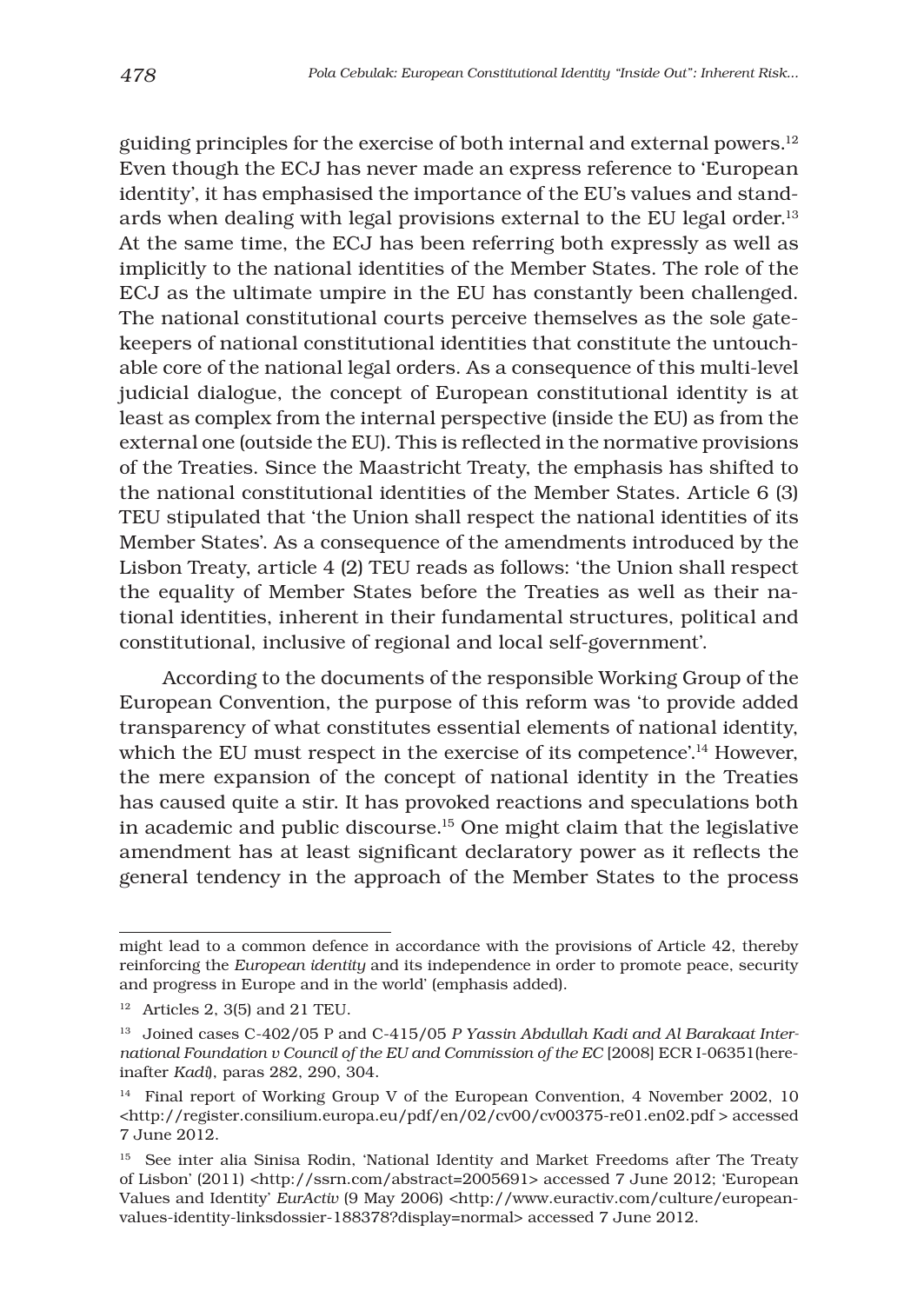guiding principles for the exercise of both internal and external powers.12 Even though the ECJ has never made an express reference to 'European identity', it has emphasised the importance of the EU's values and standards when dealing with legal provisions external to the EU legal order.13 At the same time, the ECJ has been referring both expressly as well as implicitly to the national identities of the Member States. The role of the ECJ as the ultimate umpire in the EU has constantly been challenged. The national constitutional courts perceive themselves as the sole gatekeepers of national constitutional identities that constitute the untouchable core of the national legal orders. As a consequence of this multi-level judicial dialogue, the concept of European constitutional identity is at least as complex from the internal perspective (inside the EU) as from the external one (outside the EU). This is reflected in the normative provisions of the Treaties. Since the Maastricht Treaty, the emphasis has shifted to the national constitutional identities of the Member States. Article 6 (3) TEU stipulated that 'the Union shall respect the national identities of its Member States'. As a consequence of the amendments introduced by the Lisbon Treaty, article 4 (2) TEU reads as follows: 'the Union shall respect the equality of Member States before the Treaties as well as their national identities, inherent in their fundamental structures, political and constitutional, inclusive of regional and local self-government'.

According to the documents of the responsible Working Group of the European Convention, the purpose of this reform was 'to provide added transparency of what constitutes essential elements of national identity, which the EU must respect in the exercise of its competence'.<sup>14</sup> However, the mere expansion of the concept of national identity in the Treaties has caused quite a stir. It has provoked reactions and speculations both in academic and public discourse.15 One might claim that the legislative amendment has at least significant declaratory power as it reflects the general tendency in the approach of the Member States to the process

might lead to a common defence in accordance with the provisions of Article 42, thereby reinforcing the *European identity* and its independence in order to promote peace, security and progress in Europe and in the world' (emphasis added).

 $12$  Articles 2, 3(5) and 21 TEU.

<sup>13</sup> Joined cases C-402/05 P and C-415/05 *P Yassin Abdullah Kadi and Al Barakaat International Foundation v Council of the EU and Commission of the EC* [2008] ECR I-06351(hereinafter *Kadi*), paras 282, 290, 304.

<sup>14</sup> Final report of Working Group V of the European Convention, 4 November 2002, 10 <http://register.consilium.europa.eu/pdf/en/02/cv00/cv00375-re01.en02.pdf > accessed 7 June 2012.

<sup>&</sup>lt;sup>15</sup> See inter alia Sinisa Rodin, 'National Identity and Market Freedoms after The Treaty of Lisbon' (2011) <http://ssrn.com/abstract=2005691> accessed 7 June 2012; 'European Values and Identity' *EurActiv* (9 May 2006) <http://www.euractiv.com/culture/europeanvalues-identity-linksdossier-188378?display=normal> accessed 7 June 2012.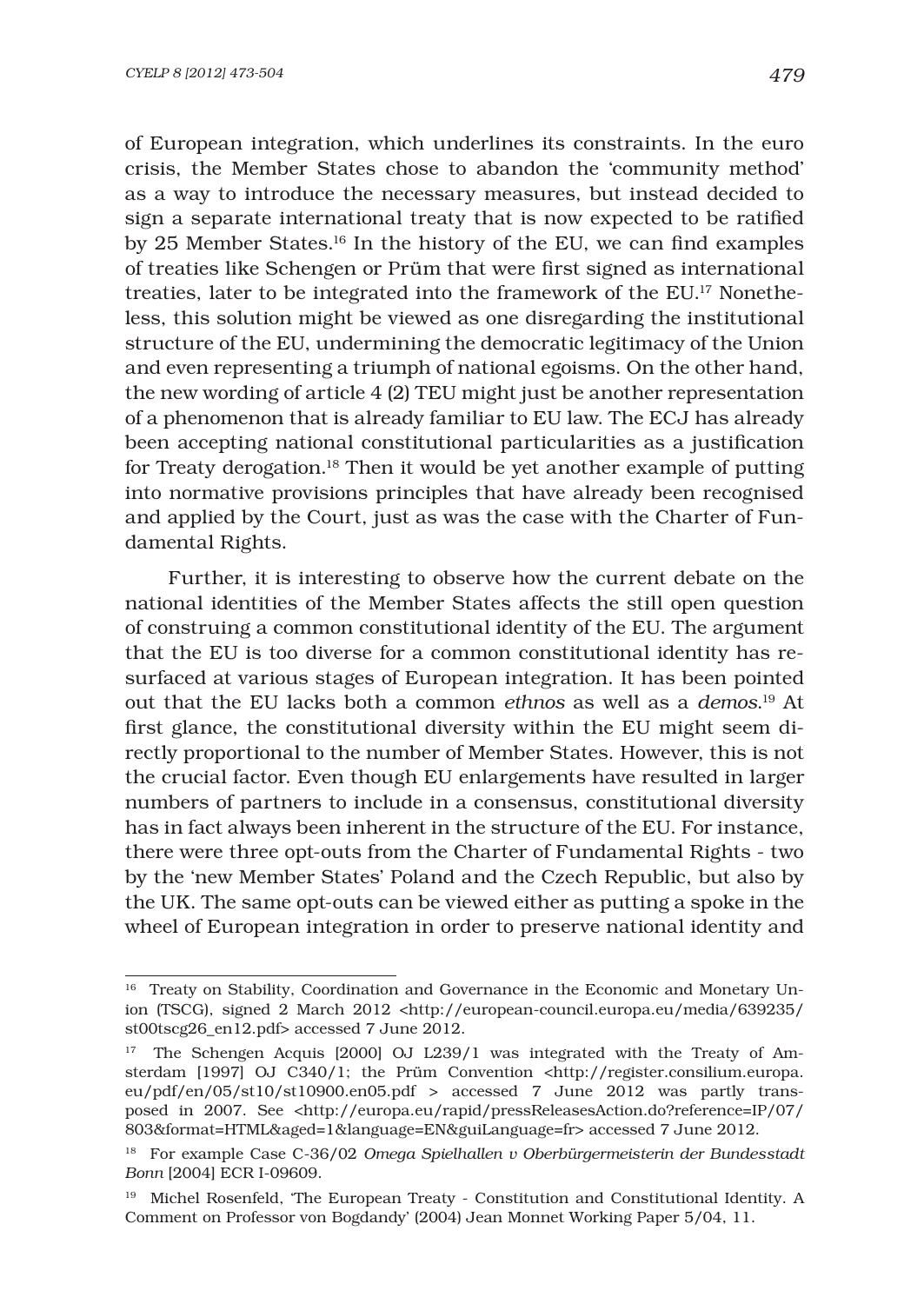of European integration, which underlines its constraints. In the euro crisis, the Member States chose to abandon the 'community method' as a way to introduce the necessary measures, but instead decided to sign a separate international treaty that is now expected to be ratified by 25 Member States. $16$  In the history of the EU, we can find examples of treaties like Schengen or Prüm that were first signed as international treaties, later to be integrated into the framework of the EU.17 Nonetheless, this solution might be viewed as one disregarding the institutional structure of the EU, undermining the democratic legitimacy of the Union and even representing a triumph of national egoisms. On the other hand, the new wording of article 4 (2) TEU might just be another representation of a phenomenon that is already familiar to EU law. The ECJ has already been accepting national constitutional particularities as a justification for Treaty derogation.18 Then it would be yet another example of putting into normative provisions principles that have already been recognised and applied by the Court, just as was the case with the Charter of Fundamental Rights.

Further, it is interesting to observe how the current debate on the national identities of the Member States affects the still open question of construing a common constitutional identity of the EU. The argument that the EU is too diverse for a common constitutional identity has resurfaced at various stages of European integration. It has been pointed out that the EU lacks both a common *ethnos* as well as a *demos*. 19 At first glance, the constitutional diversity within the EU might seem directly proportional to the number of Member States. However, this is not the crucial factor. Even though EU enlargements have resulted in larger numbers of partners to include in a consensus, constitutional diversity has in fact always been inherent in the structure of the EU. For instance, there were three opt-outs from the Charter of Fundamental Rights - two by the 'new Member States' Poland and the Czech Republic, but also by the UK. The same opt-outs can be viewed either as putting a spoke in the wheel of European integration in order to preserve national identity and

<sup>&</sup>lt;sup>16</sup> Treaty on Stability, Coordination and Governance in the Economic and Monetary Union (TSCG), signed 2 March 2012 <http://european-council.europa.eu/media/639235/ st00tscg26\_en12.pdf> accessed 7 June 2012.

<sup>17</sup> The Schengen Acquis [2000] OJ L239/1 was integrated with the Treaty of Amsterdam [1997] OJ C340/1; the Prüm Convention <http://register.consilium.europa. eu/pdf/en/05/st10/st10900.en05.pdf > accessed 7 June 2012 was partly transposed in 2007. See <http://europa.eu/rapid/pressReleasesAction.do?reference=IP/07/ 803&format=HTML&aged=1&language=EN&guiLanguage=fr> accessed 7 June 2012.

<sup>18</sup> For example Case C-36/02 *Omega Spielhallen v Oberbürgermeisterin der Bundesstadt Bonn* [2004] ECR I-09609.

<sup>19</sup> Michel Rosenfeld, 'The European Treaty - Constitution and Constitutional Identity. A Comment on Professor von Bogdandy' (2004) Jean Monnet Working Paper 5/04, 11.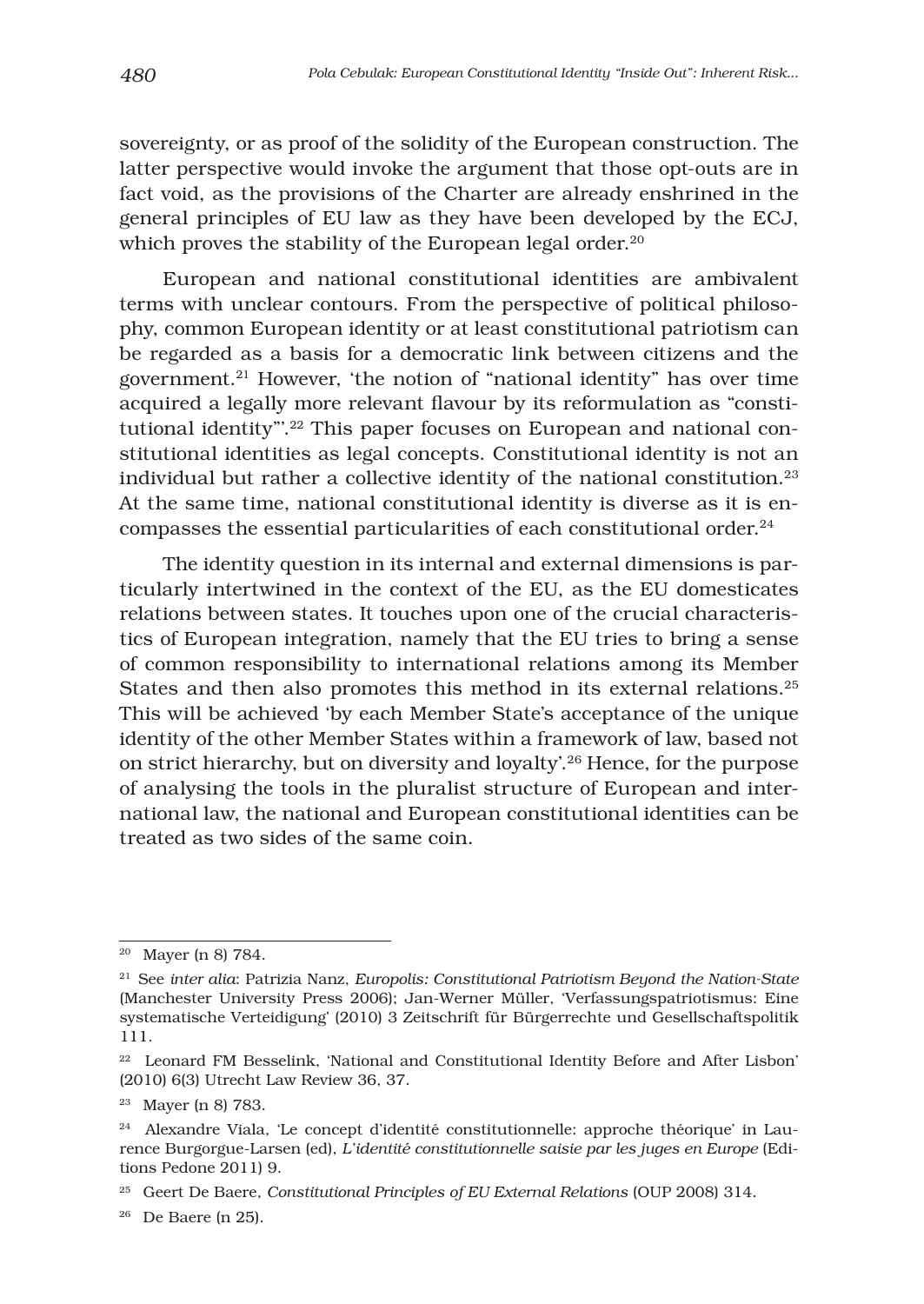sovereignty, or as proof of the solidity of the European construction. The latter perspective would invoke the argument that those opt-outs are in fact void, as the provisions of the Charter are already enshrined in the general principles of EU law as they have been developed by the ECJ, which proves the stability of the European legal order.<sup>20</sup>

European and national constitutional identities are ambivalent terms with unclear contours. From the perspective of political philosophy, common European identity or at least constitutional patriotism can be regarded as a basis for a democratic link between citizens and the government.21 However, 'the notion of "national identity" has over time acquired a legally more relevant flavour by its reformulation as "constitutional identity"'.22 This paper focuses on European and national constitutional identities as legal concepts. Constitutional identity is not an individual but rather a collective identity of the national constitution.23 At the same time, national constitutional identity is diverse as it is encompasses the essential particularities of each constitutional order.24

The identity question in its internal and external dimensions is particularly intertwined in the context of the EU, as the EU domesticates relations between states. It touches upon one of the crucial characteristics of European integration, namely that the EU tries to bring a sense of common responsibility to international relations among its Member States and then also promotes this method in its external relations.25 This will be achieved 'by each Member State's acceptance of the unique identity of the other Member States within a framework of law, based not on strict hierarchy, but on diversity and loyalty'.26 Hence, for the purpose of analysing the tools in the pluralist structure of European and international law, the national and European constitutional identities can be treated as two sides of the same coin.

<sup>20</sup> Mayer (n 8) 784.

<sup>21</sup> See *inter alia*: Patrizia Nanz, *Europolis: Constitutional Patriotism Beyond the Nation-State* (Manchester University Press 2006); Jan-Werner Müller, 'Verfassungspatriotismus: Eine systematische Verteidigung' (2010) 3 Zeitschrift für Bürgerrechte und Gesellschaftspolitik 111.

<sup>&</sup>lt;sup>22</sup> Leonard FM Besselink, 'National and Constitutional Identity Before and After Lisbon' (2010) 6(3) Utrecht Law Review 36, 37.

<sup>23</sup> Mayer (n 8) 783.

<sup>24</sup> Alexandre Viala, 'Le concept d'identité constitutionnelle: approche théorique' in Laurence Burgorgue-Larsen (ed), *L'identité constitutionnelle saisie par les juges en Europe* (Editions Pedone 2011) 9.

<sup>25</sup> Geert De Baere, *Constitutional Principles of EU External Relations* (OUP 2008) 314.

<sup>26</sup> De Baere (n 25).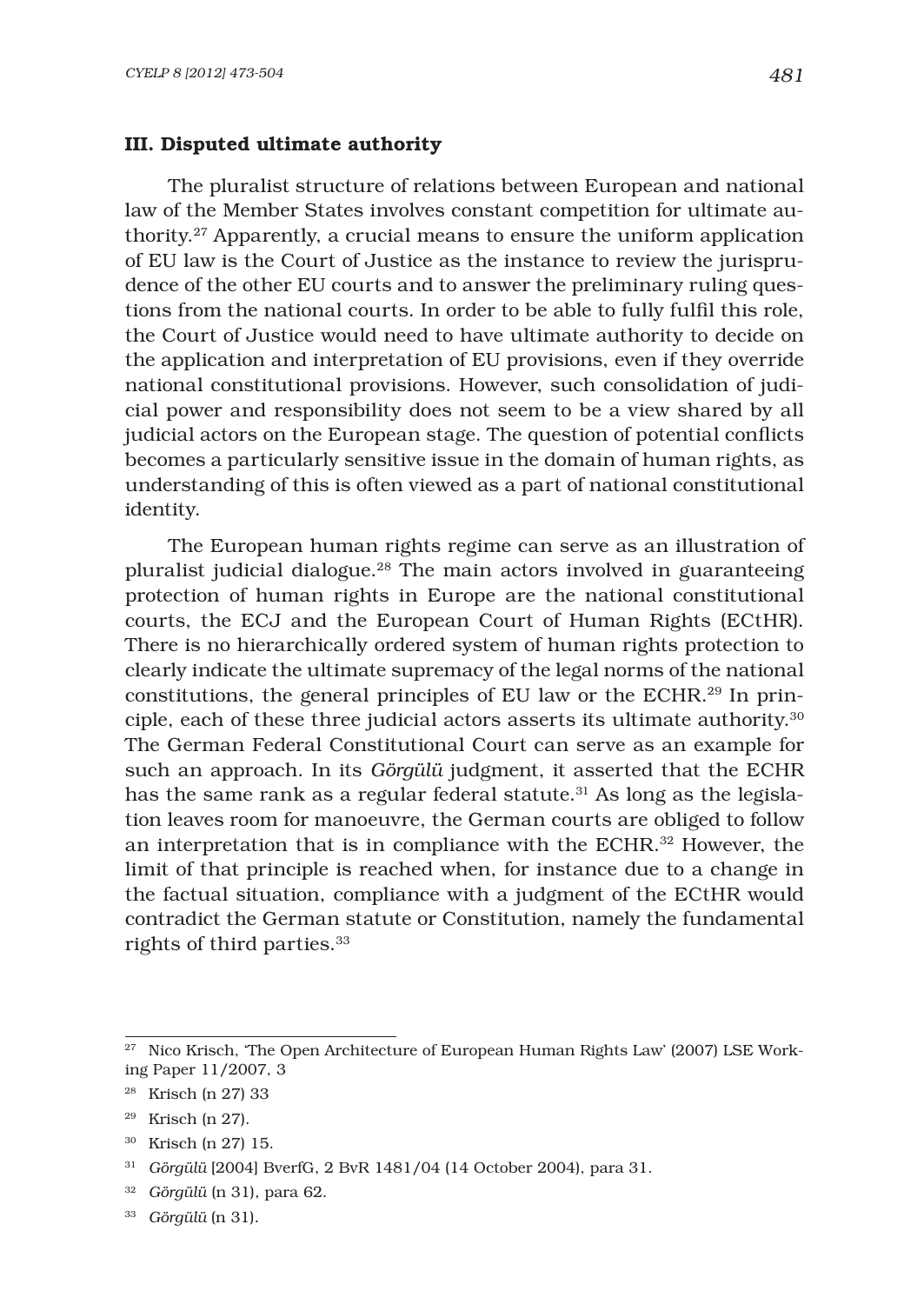#### III. Disputed ultimate authority

The pluralist structure of relations between European and national law of the Member States involves constant competition for ultimate authority.27 Apparently, a crucial means to ensure the uniform application of EU law is the Court of Justice as the instance to review the jurisprudence of the other EU courts and to answer the preliminary ruling questions from the national courts. In order to be able to fully fulfil this role, the Court of Justice would need to have ultimate authority to decide on the application and interpretation of EU provisions, even if they override national constitutional provisions. However, such consolidation of judicial power and responsibility does not seem to be a view shared by all judicial actors on the European stage. The question of potential conflicts becomes a particularly sensitive issue in the domain of human rights, as understanding of this is often viewed as a part of national constitutional identity.

The European human rights regime can serve as an illustration of pluralist judicial dialogue.28 The main actors involved in guaranteeing protection of human rights in Europe are the national constitutional courts, the ECJ and the European Court of Human Rights (ECtHR). There is no hierarchically ordered system of human rights protection to clearly indicate the ultimate supremacy of the legal norms of the national constitutions, the general principles of EU law or the ECHR.29 In principle, each of these three judicial actors asserts its ultimate authority.30 The German Federal Constitutional Court can serve as an example for such an approach. In its *Görgülü* judgment, it asserted that the ECHR has the same rank as a regular federal statute.<sup>31</sup> As long as the legislation leaves room for manoeuvre, the German courts are obliged to follow an interpretation that is in compliance with the ECHR.32 However, the limit of that principle is reached when, for instance due to a change in the factual situation, compliance with a judgment of the ECtHR would contradict the German statute or Constitution, namely the fundamental rights of third parties.33

<sup>&</sup>lt;sup>27</sup> Nico Krisch, 'The Open Architecture of European Human Rights Law' (2007) LSE Working Paper 11/2007, 3

<sup>28</sup> Krisch (n 27) 33

<sup>29</sup> Krisch (n 27).

<sup>30</sup> Krisch (n 27) 15.

<sup>31</sup> *Görgülü* [2004] BverfG, 2 BvR 1481/04 (14 October 2004), para 31.

<sup>32</sup> *Görgülü* (n 31), para 62.

<sup>33</sup> *Görgülü* (n 31)*.*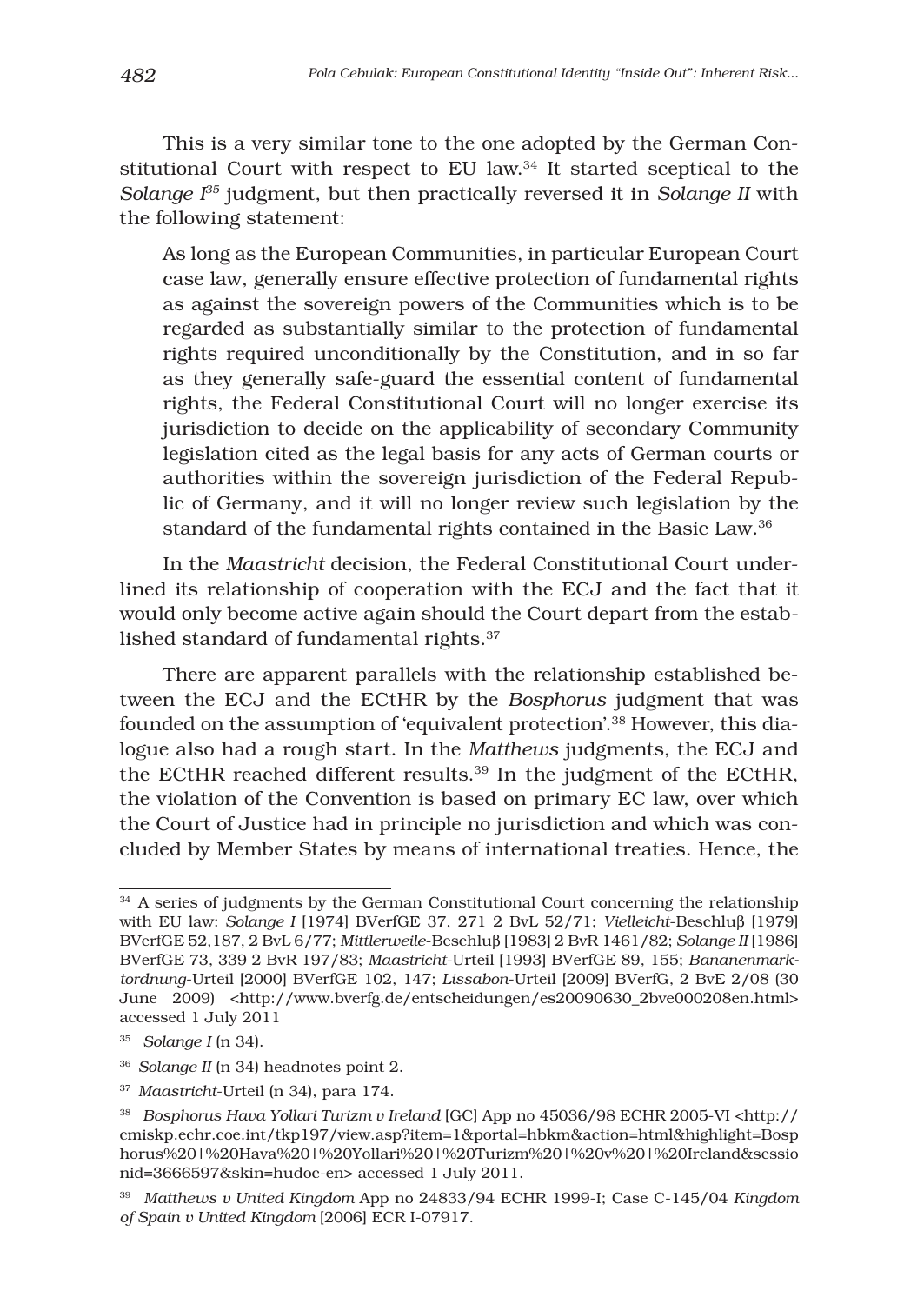This is a very similar tone to the one adopted by the German Constitutional Court with respect to EU law.34 It started sceptical to the *Solange I35* judgment, but then practically reversed it in *Solange II* with the following statement:

As long as the European Communities, in particular European Court case law, generally ensure effective protection of fundamental rights as against the sovereign powers of the Communities which is to be regarded as substantially similar to the protection of fundamental rights required unconditionally by the Constitution, and in so far as they generally safe-guard the essential content of fundamental rights, the Federal Constitutional Court will no longer exercise its jurisdiction to decide on the applicability of secondary Community legislation cited as the legal basis for any acts of German courts or authorities within the sovereign jurisdiction of the Federal Republic of Germany, and it will no longer review such legislation by the standard of the fundamental rights contained in the Basic Law.<sup>36</sup>

In the *Maastricht* decision, the Federal Constitutional Court underlined its relationship of cooperation with the ECJ and the fact that it would only become active again should the Court depart from the established standard of fundamental rights.37

There are apparent parallels with the relationship established between the ECJ and the ECtHR by the *Bosphorus* judgment that was founded on the assumption of 'equivalent protection'.38 However, this dialogue also had a rough start. In the *Matthews* judgments, the ECJ and the ECtHR reached different results.39 In the judgment of the ECtHR, the violation of the Convention is based on primary EC law, over which the Court of Justice had in principle no jurisdiction and which was concluded by Member States by means of international treaties. Hence, the

<sup>&</sup>lt;sup>34</sup> A series of judgments by the German Constitutional Court concerning the relationship with EU law: *Solange I* [1974] BVerfGE 37, 271 2 BvL 52/71; *Vielleicht*-Beschluβ [1979] BVerfGE 52,187, 2 BvL 6/77; *Mittlerweile*-Beschluβ [1983] 2 BvR 1461/82; *Solange II* [1986] BVerfGE 73, 339 2 BvR 197/83; *Maastricht*-Urteil [1993] BVerfGE 89, 155; *Bananenmarktordnung*-Urteil [2000] BVerfGE 102, 147; *Lissabon*-Urteil [2009] BVerfG, 2 BvE 2/08 (30 June 2009) <http://www.bverfg.de/entscheidungen/es20090630\_2bve000208en.html> accessed 1 July 2011

<sup>35</sup> *Solange I* (n 34).

<sup>36</sup> *Solange II* (n 34) headnotes point 2.

<sup>37</sup> *Maastricht*-Urteil (n 34), para 174.

<sup>38</sup> *Bosphorus Hava Yollari Turizm v Ireland* [GC] App no 45036/98 ECHR 2005-VI <http:// cmiskp.echr.coe.int/tkp197/view.asp?item=1&portal=hbkm&action=html&highlight=Bosp horus%20|%20Hava%20|%20Yollari%20|%20Turizm%20|%20v%20|%20Ireland&sessio nid=3666597&skin=hudoc-en> accessed 1 July 2011.

<sup>39</sup> *Matthews v United Kingdom* App no 24833/94 ECHR 1999-I; Case C-145/04 *Kingdom of Spain v United Kingdom* [2006] ECR I-07917.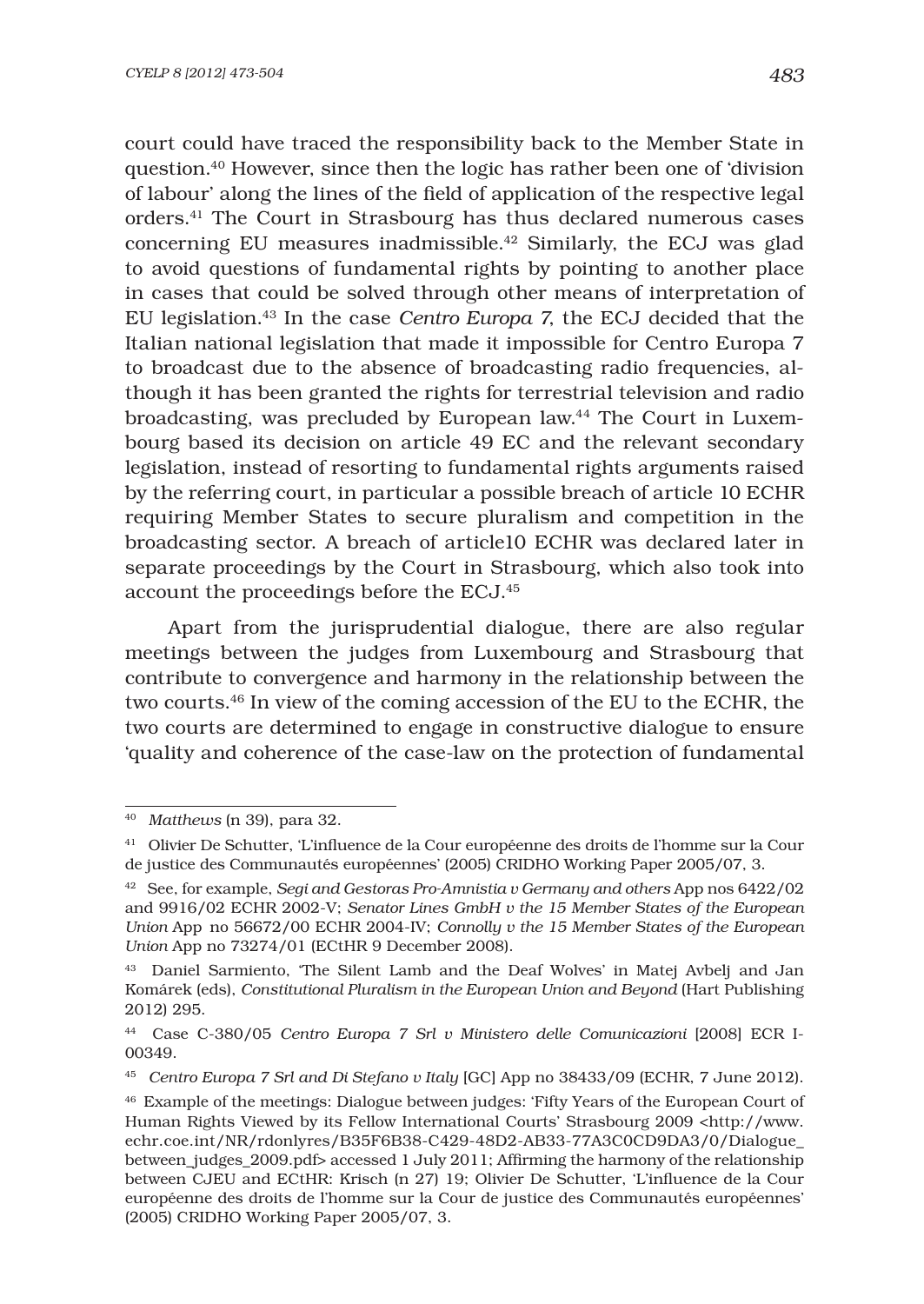court could have traced the responsibility back to the Member State in question.40 However, since then the logic has rather been one of 'division of labour' along the lines of the field of application of the respective legal orders.41 The Court in Strasbourg has thus declared numerous cases concerning EU measures inadmissible.42 Similarly, the ECJ was glad to avoid questions of fundamental rights by pointing to another place in cases that could be solved through other means of interpretation of EU legislation.43 In the case *Centro Europa 7*, the ECJ decided that the Italian national legislation that made it impossible for Centro Europa 7 to broadcast due to the absence of broadcasting radio frequencies, although it has been granted the rights for terrestrial television and radio broadcasting, was precluded by European law.44 The Court in Luxembourg based its decision on article 49 EC and the relevant secondary legislation, instead of resorting to fundamental rights arguments raised by the referring court, in particular a possible breach of article 10 ECHR requiring Member States to secure pluralism and competition in the broadcasting sector. A breach of article10 ECHR was declared later in separate proceedings by the Court in Strasbourg, which also took into account the proceedings before the ECJ.45

Apart from the jurisprudential dialogue, there are also regular meetings between the judges from Luxembourg and Strasbourg that contribute to convergence and harmony in the relationship between the two courts.46 In view of the coming accession of the EU to the ECHR, the two courts are determined to engage in constructive dialogue to ensure 'quality and coherence of the case-law on the protection of fundamental

<sup>40</sup> *Matthews* (n 39), para 32.

<sup>&</sup>lt;sup>41</sup> Olivier De Schutter, 'L'influence de la Cour européenne des droits de l'homme sur la Cour de justice des Communautés européennes' (2005) CRIDHO Working Paper 2005/07, 3.

<sup>42</sup> See, for example, *Segi and Gestoras Pro-Amnistia v Germany and others* App nos 6422/02 and 9916/02 ECHR 2002-V; *Senator Lines GmbH v the 15 Member States of the European Union* App no 56672/00 ECHR 2004-IV; *Connolly v the 15 Member States of the European Union* App no 73274/01 (ECtHR 9 December 2008).

<sup>43</sup> Daniel Sarmiento, 'The Silent Lamb and the Deaf Wolves' in Matej Avbelj and Jan Komárek (eds), *Constitutional Pluralism in the European Union and Beyond* (Hart Publishing 2012) 295.

<sup>44</sup> Case C-380/05 *Centro Europa 7 Srl v Ministero delle Comunicazioni* [2008] ECR I-00349.

<sup>45</sup> *Centro Europa 7 Srl and Di Stefano v Italy* [GC] App no 38433/09 (ECHR, 7 June 2012).

<sup>46</sup> Example of the meetings: Dialogue between judges: 'Fifty Years of the European Court of Human Rights Viewed by its Fellow International Courts' Strasbourg 2009 <http://www. echr.coe.int/NR/rdonlyres/B35F6B38-C429-48D2-AB33-77A3C0CD9DA3/0/Dialogue\_ between judges  $2009.$ pdf> accessed 1 July  $2011$ ; Affirming the harmony of the relationship between CJEU and ECtHR: Krisch (n 27) 19; Olivier De Schutter, 'L'influence de la Cour européenne des droits de l'homme sur la Cour de justice des Communautés européennes' (2005) CRIDHO Working Paper 2005/07, 3.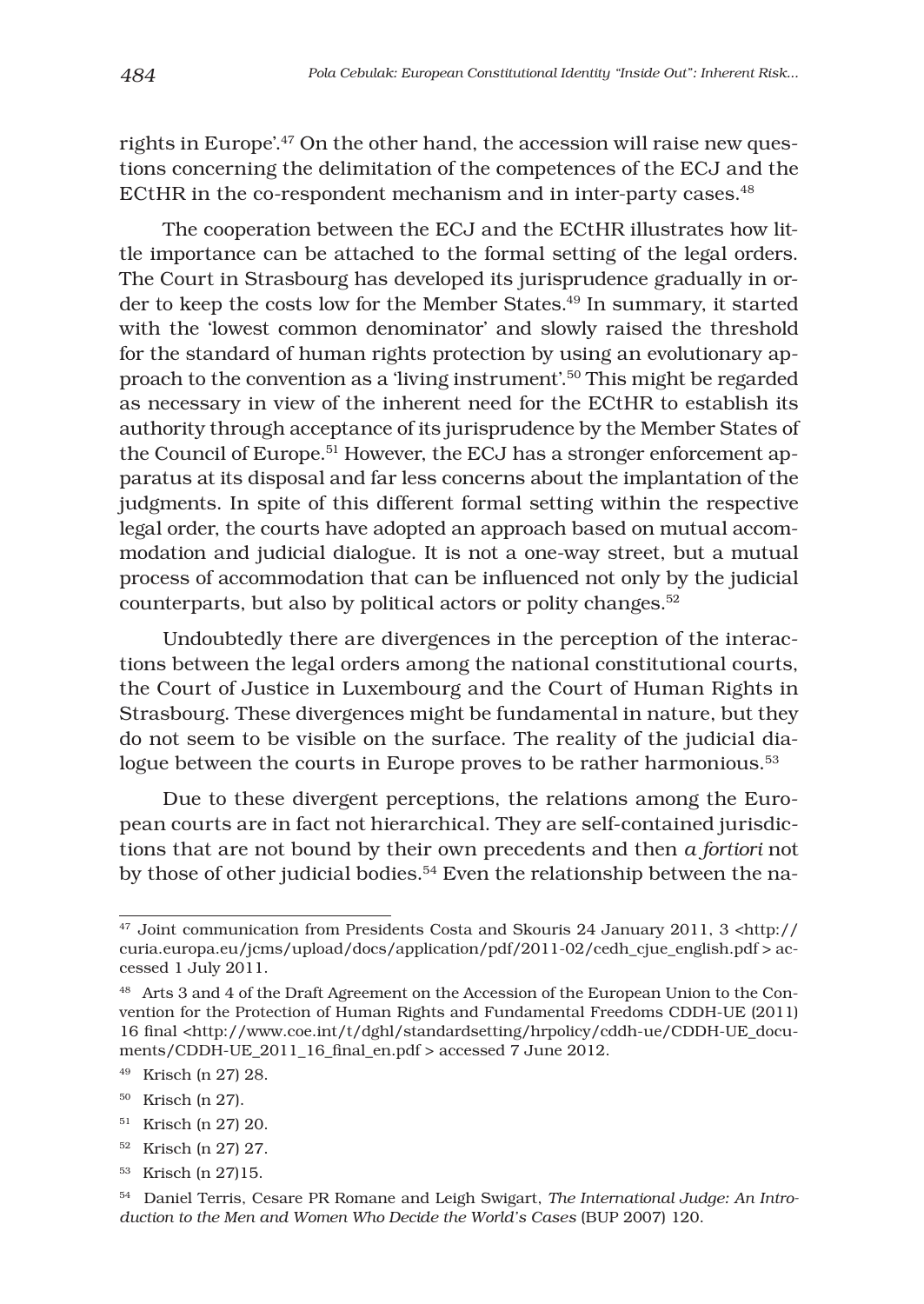rights in Europe'.47 On the other hand, the accession will raise new questions concerning the delimitation of the competences of the ECJ and the ECtHR in the co-respondent mechanism and in inter-party cases.<sup>48</sup>

The cooperation between the ECJ and the ECtHR illustrates how little importance can be attached to the formal setting of the legal orders. The Court in Strasbourg has developed its jurisprudence gradually in order to keep the costs low for the Member States.49 In summary, it started with the 'lowest common denominator' and slowly raised the threshold for the standard of human rights protection by using an evolutionary approach to the convention as a 'living instrument'.50 This might be regarded as necessary in view of the inherent need for the ECtHR to establish its authority through acceptance of its jurisprudence by the Member States of the Council of Europe.<sup>51</sup> However, the ECJ has a stronger enforcement apparatus at its disposal and far less concerns about the implantation of the judgments. In spite of this different formal setting within the respective legal order, the courts have adopted an approach based on mutual accommodation and judicial dialogue. It is not a one-way street, but a mutual process of accommodation that can be influenced not only by the judicial counterparts, but also by political actors or polity changes.<sup>52</sup>

Undoubtedly there are divergences in the perception of the interactions between the legal orders among the national constitutional courts, the Court of Justice in Luxembourg and the Court of Human Rights in Strasbourg. These divergences might be fundamental in nature, but they do not seem to be visible on the surface. The reality of the judicial dialogue between the courts in Europe proves to be rather harmonious.<sup>53</sup>

Due to these divergent perceptions, the relations among the European courts are in fact not hierarchical. They are self-contained jurisdictions that are not bound by their own precedents and then *a fortiori* not by those of other judicial bodies.<sup>54</sup> Even the relationship between the na-

- 50 Krisch (n 27).
- 51 Krisch (n 27) 20.
- 52 Krisch (n 27) 27.
- <sup>53</sup> Krisch (n 27)15.

<sup>&</sup>lt;sup>47</sup> Joint communication from Presidents Costa and Skouris 24 January 2011, 3 <http:// curia.europa.eu/jcms/upload/docs/application/pdf/2011-02/cedh\_cjue\_english.pdf > accessed 1 July 2011.

<sup>48</sup> Arts 3 and 4 of the Draft Agreement on the Accession of the European Union to the Convention for the Protection of Human Rights and Fundamental Freedoms CDDH-UE (2011) 16 final <http://www.coe.int/t/dghl/standardsetting/hrpolicy/cddh-ue/CDDH-UE\_documents/CDDH-UE 2011 16 final en.pdf > accessed 7 June 2012.

<sup>49</sup> Krisch (n 27) 28.

<sup>54</sup> Daniel Terris, Cesare PR Romane and Leigh Swigart, *The International Judge: An Introduction to the Men and Women Who Decide the World's Cases* (BUP 2007) 120.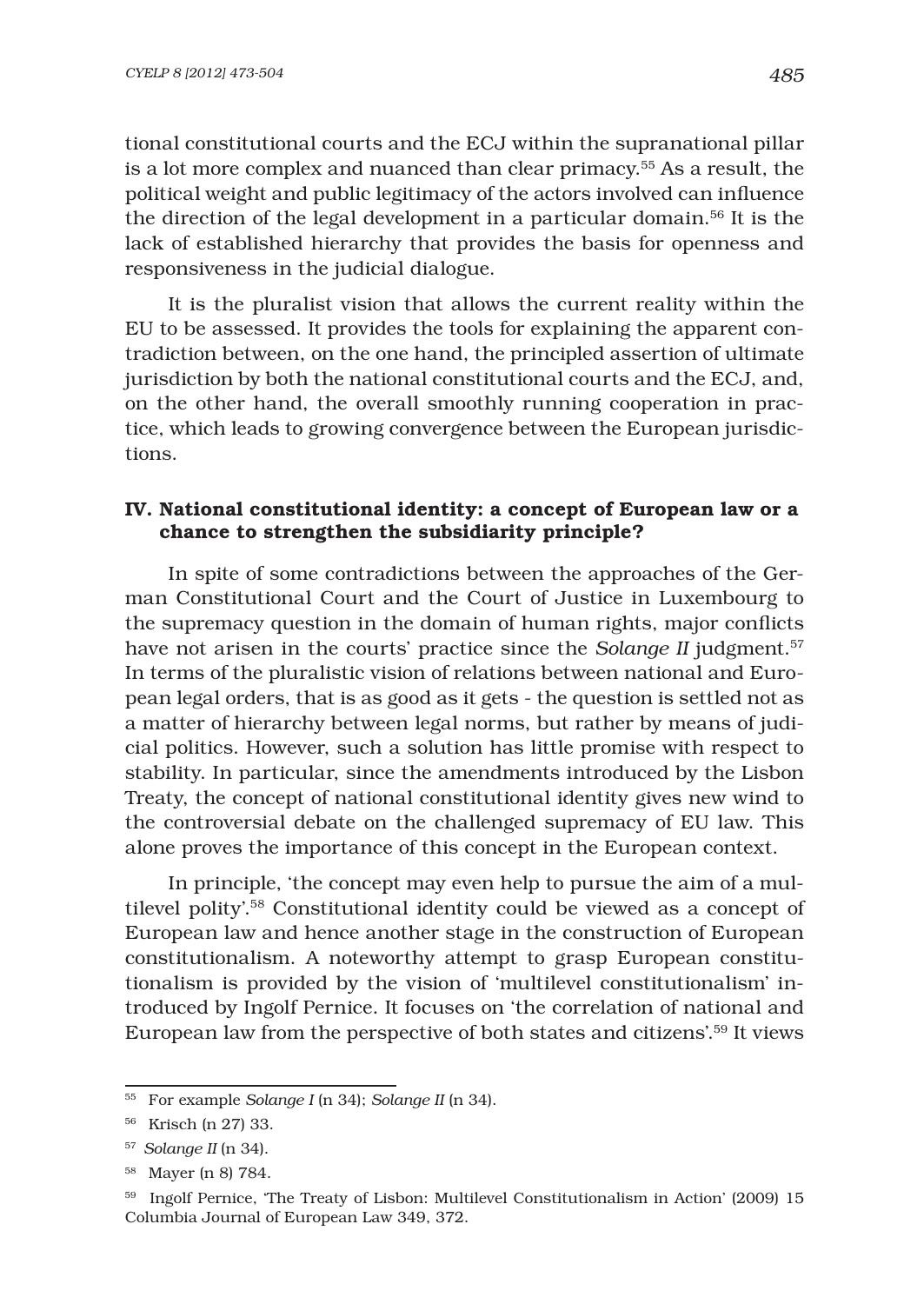tional constitutional courts and the ECJ within the supranational pillar is a lot more complex and nuanced than clear primacy.55 As a result, the political weight and public legitimacy of the actors involved can influence the direction of the legal development in a particular domain.<sup>56</sup> It is the lack of established hierarchy that provides the basis for openness and responsiveness in the judicial dialogue.

It is the pluralist vision that allows the current reality within the EU to be assessed. It provides the tools for explaining the apparent contradiction between, on the one hand, the principled assertion of ultimate jurisdiction by both the national constitutional courts and the ECJ, and, on the other hand, the overall smoothly running cooperation in practice, which leads to growing convergence between the European jurisdictions.

# IV. National constitutional identity: a concept of European law or a chance to strengthen the subsidiarity principle?

In spite of some contradictions between the approaches of the German Constitutional Court and the Court of Justice in Luxembourg to the supremacy question in the domain of human rights, major conflicts have not arisen in the courts' practice since the *Solange II* judgment.<sup>57</sup> In terms of the pluralistic vision of relations between national and European legal orders, that is as good as it gets - the question is settled not as a matter of hierarchy between legal norms, but rather by means of judicial politics. However, such a solution has little promise with respect to stability. In particular, since the amendments introduced by the Lisbon Treaty, the concept of national constitutional identity gives new wind to the controversial debate on the challenged supremacy of EU law. This alone proves the importance of this concept in the European context.

In principle, 'the concept may even help to pursue the aim of a multilevel polity'.58 Constitutional identity could be viewed as a concept of European law and hence another stage in the construction of European constitutionalism. A noteworthy attempt to grasp European constitutionalism is provided by the vision of 'multilevel constitutionalism' introduced by Ingolf Pernice. It focuses on 'the correlation of national and European law from the perspective of both states and citizens'.59 It views

<sup>55</sup> For example *Solange I* (n 34); *Solange II* (n 34).

<sup>56</sup> Krisch (n 27) 33.

<sup>57</sup> *Solange II* (n 34).

<sup>58</sup> Mayer (n 8) 784.

<sup>59</sup> Ingolf Pernice, 'The Treaty of Lisbon: Multilevel Constitutionalism in Action' (2009) 15 Columbia Journal of European Law 349, 372.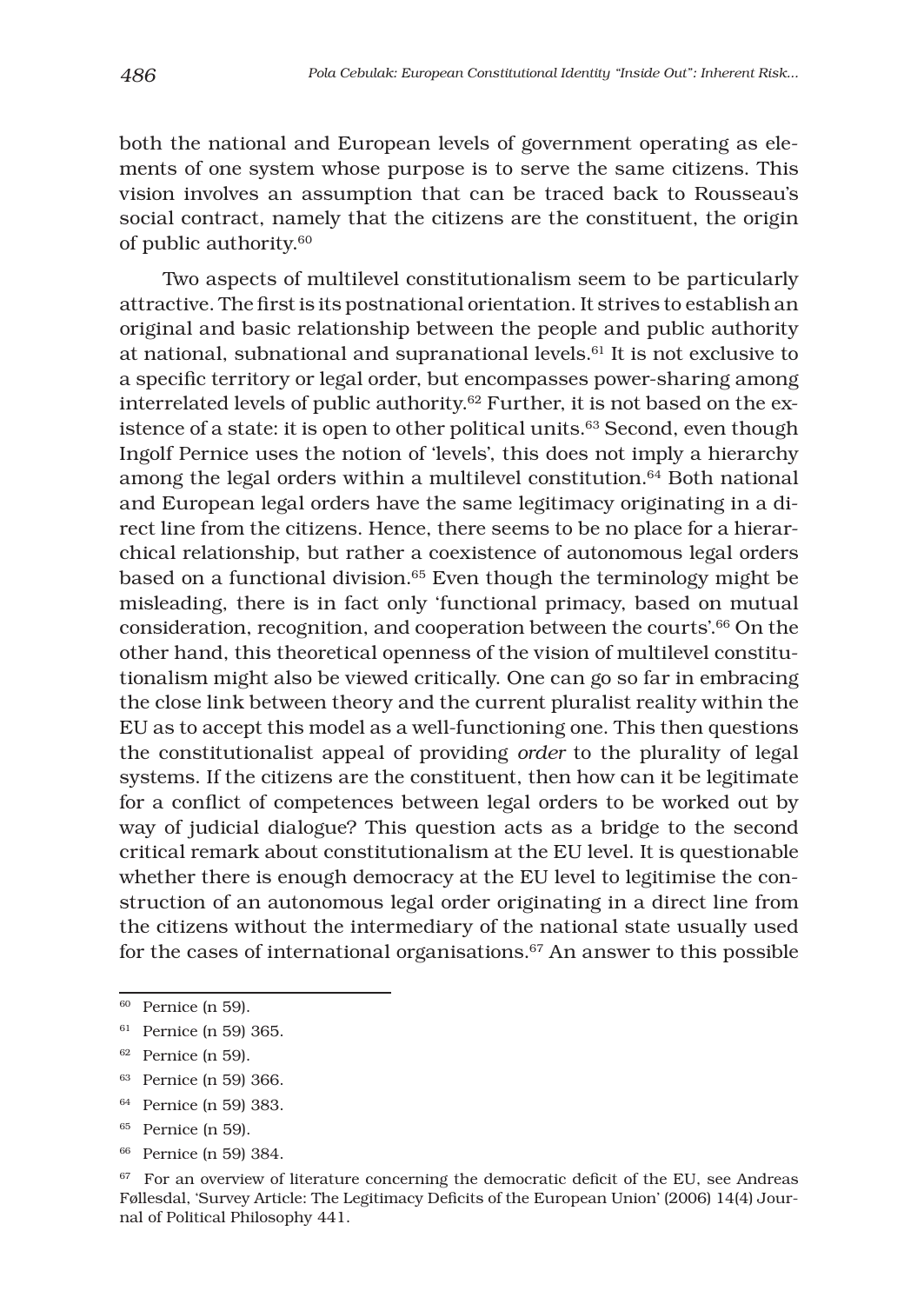both the national and European levels of government operating as elements of one system whose purpose is to serve the same citizens. This vision involves an assumption that can be traced back to Rousseau's social contract, namely that the citizens are the constituent, the origin of public authority.60

Two aspects of multilevel constitutionalism seem to be particularly attractive. The first is its postnational orientation. It strives to establish an original and basic relationship between the people and public authority at national, subnational and supranational levels.61 It is not exclusive to a specific territory or legal order, but encompasses power-sharing among interrelated levels of public authority.62 Further, it is not based on the existence of a state: it is open to other political units.<sup>63</sup> Second, even though Ingolf Pernice uses the notion of 'levels', this does not imply a hierarchy among the legal orders within a multilevel constitution.<sup>64</sup> Both national and European legal orders have the same legitimacy originating in a direct line from the citizens. Hence, there seems to be no place for a hierarchical relationship, but rather a coexistence of autonomous legal orders based on a functional division.65 Even though the terminology might be misleading, there is in fact only 'functional primacy, based on mutual consideration, recognition, and cooperation between the courts'.66 On the other hand, this theoretical openness of the vision of multilevel constitutionalism might also be viewed critically. One can go so far in embracing the close link between theory and the current pluralist reality within the EU as to accept this model as a well-functioning one. This then questions the constitutionalist appeal of providing *order* to the plurality of legal systems. If the citizens are the constituent, then how can it be legitimate for a conflict of competences between legal orders to be worked out by way of judicial dialogue? This question acts as a bridge to the second critical remark about constitutionalism at the EU level. It is questionable whether there is enough democracy at the EU level to legitimise the construction of an autonomous legal order originating in a direct line from the citizens without the intermediary of the national state usually used for the cases of international organisations. $67$  An answer to this possible

<sup>64</sup> Pernice (n 59) 383.

<sup>60</sup> Pernice (n 59).

<sup>61</sup> Pernice (n 59) 365.

<sup>62</sup> Pernice (n 59).

<sup>63</sup> Pernice (n 59) 366.

<sup>65</sup> Pernice (n 59).

<sup>66</sup> Pernice (n 59) 384.

 $67$  For an overview of literature concerning the democratic deficit of the EU, see Andreas Føllesdal, 'Survey Article: The Legitimacy Deficits of the European Union' (2006) 14(4) Journal of Political Philosophy 441.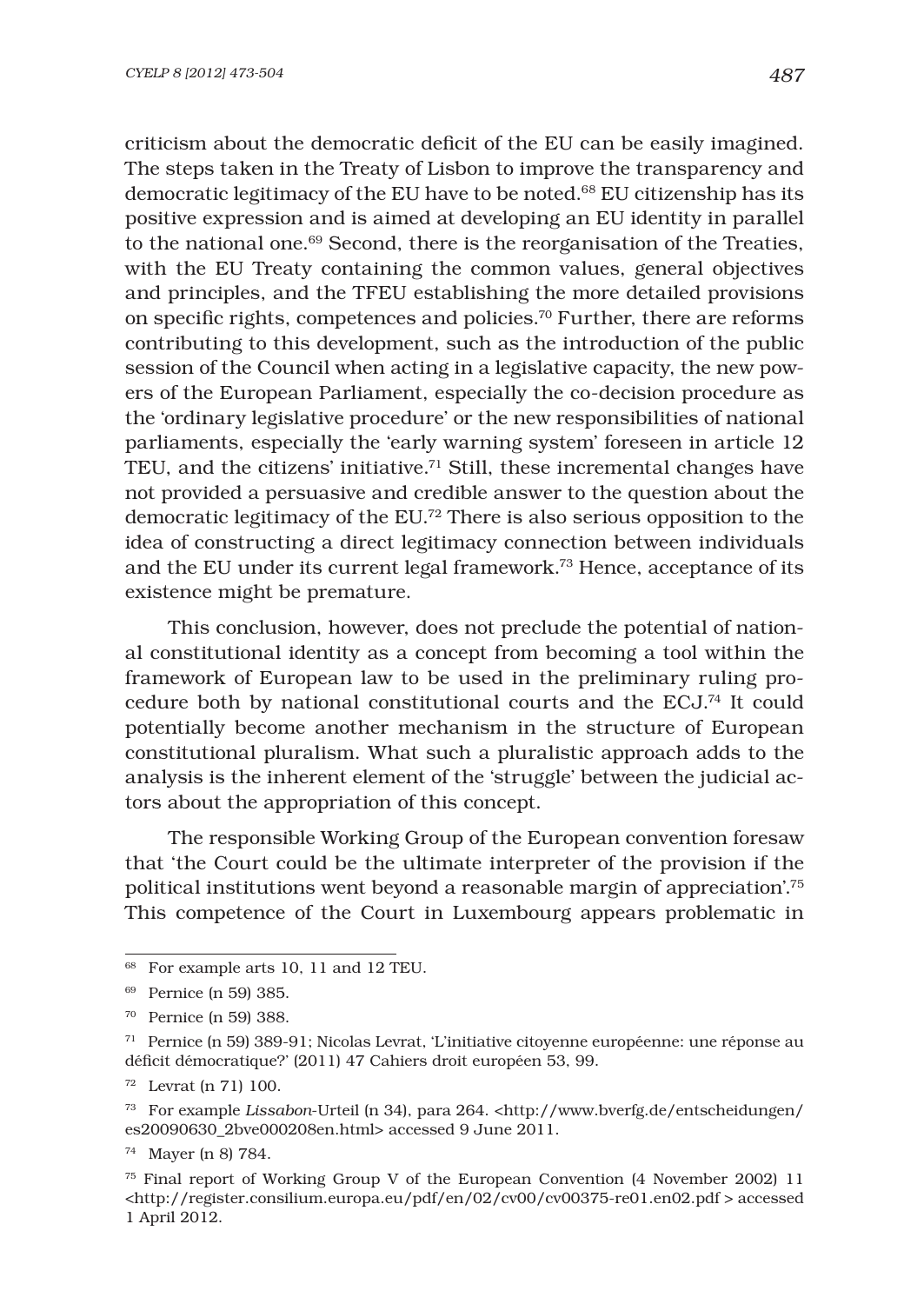criticism about the democratic deficit of the EU can be easily imagined. The steps taken in the Treaty of Lisbon to improve the transparency and democratic legitimacy of the EU have to be noted.68 EU citizenship has its positive expression and is aimed at developing an EU identity in parallel to the national one.<sup>69</sup> Second, there is the reorganisation of the Treaties, with the EU Treaty containing the common values, general objectives and principles, and the TFEU establishing the more detailed provisions on specific rights, competences and policies.<sup>70</sup> Further, there are reforms contributing to this development, such as the introduction of the public session of the Council when acting in a legislative capacity, the new powers of the European Parliament, especially the co-decision procedure as the 'ordinary legislative procedure' or the new responsibilities of national parliaments, especially the 'early warning system' foreseen in article 12 TEU, and the citizens' initiative.<sup>71</sup> Still, these incremental changes have not provided a persuasive and credible answer to the question about the democratic legitimacy of the EU.72 There is also serious opposition to the

idea of constructing a direct legitimacy connection between individuals and the EU under its current legal framework.73 Hence, acceptance of its existence might be premature.

This conclusion, however, does not preclude the potential of national constitutional identity as a concept from becoming a tool within the framework of European law to be used in the preliminary ruling procedure both by national constitutional courts and the ECJ.74 It could potentially become another mechanism in the structure of European constitutional pluralism. What such a pluralistic approach adds to the analysis is the inherent element of the 'struggle' between the judicial actors about the appropriation of this concept.

The responsible Working Group of the European convention foresaw that 'the Court could be the ultimate interpreter of the provision if the political institutions went beyond a reasonable margin of appreciation'.75 This competence of the Court in Luxembourg appears problematic in

 $^{68}$  For example arts 10, 11 and 12 TEU.

<sup>69</sup> Pernice (n 59) 385.

<sup>70</sup> Pernice (n 59) 388.

<sup>71</sup> Pernice (n 59) 389-91; Nicolas Levrat, 'L'initiative citoyenne européenne: une réponse au déficit démocratique?' (2011) 47 Cahiers droit européen 53, 99.

<sup>72</sup> Levrat (n 71) 100.

<sup>73</sup> For example *Lissabon*-Urteil (n 34), para 264. <http://www.bverfg.de/entscheidungen/ es20090630\_2bve000208en.html> accessed 9 June 2011.

<sup>74</sup> Mayer (n 8) 784.

<sup>75</sup> Final report of Working Group V of the European Convention (4 November 2002) 11 <http://register.consilium.europa.eu/pdf/en/02/cv00/cv00375-re01.en02.pdf > accessed 1 April 2012.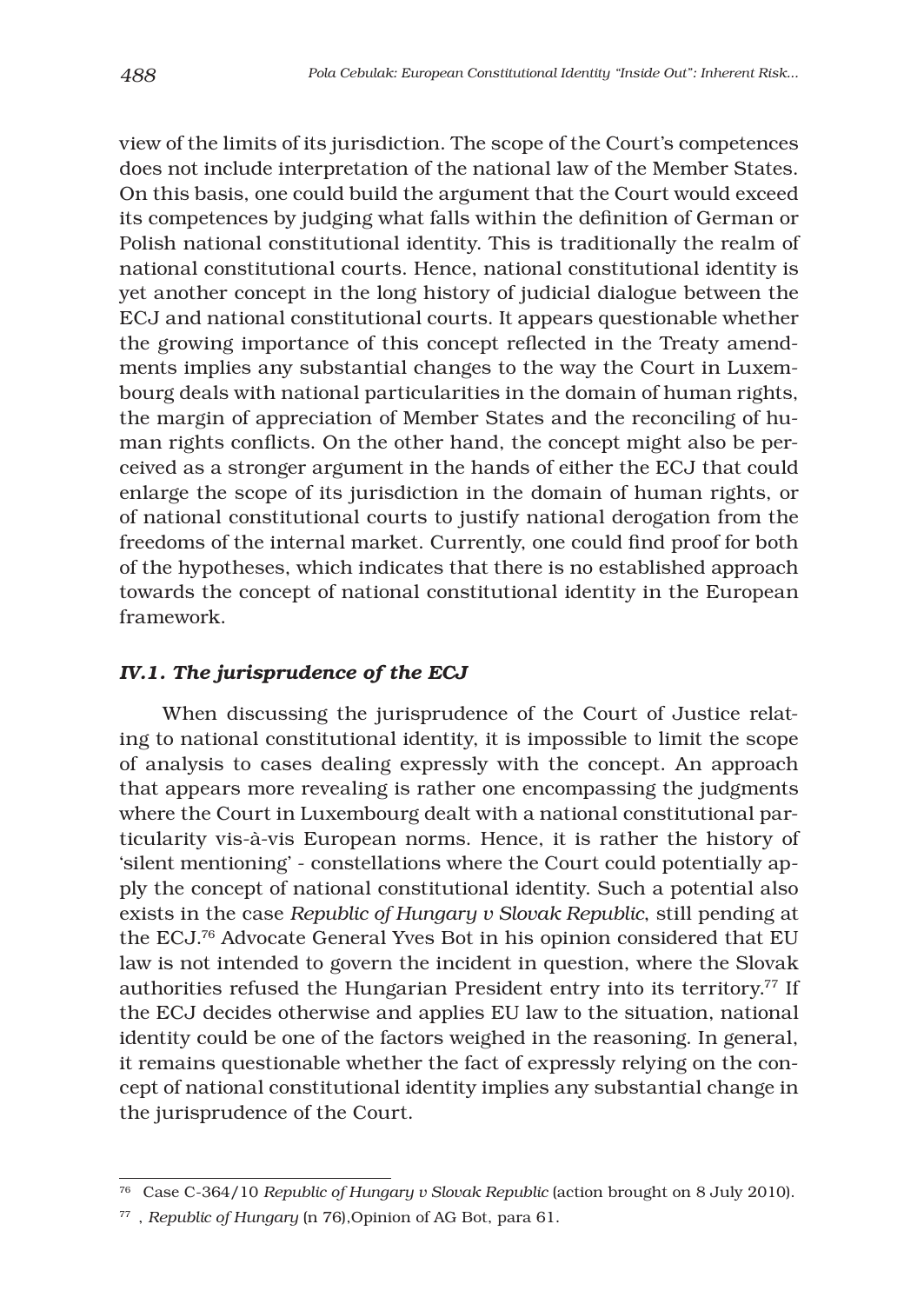view of the limits of its jurisdiction. The scope of the Court's competences does not include interpretation of the national law of the Member States. On this basis, one could build the argument that the Court would exceed its competences by judging what falls within the definition of German or Polish national constitutional identity. This is traditionally the realm of national constitutional courts. Hence, national constitutional identity is yet another concept in the long history of judicial dialogue between the ECJ and national constitutional courts. It appears questionable whether the growing importance of this concept reflected in the Treaty amendments implies any substantial changes to the way the Court in Luxembourg deals with national particularities in the domain of human rights, the margin of appreciation of Member States and the reconciling of human rights conflicts. On the other hand, the concept might also be perceived as a stronger argument in the hands of either the ECJ that could enlarge the scope of its jurisdiction in the domain of human rights, or of national constitutional courts to justify national derogation from the freedoms of the internal market. Currently, one could find proof for both of the hypotheses, which indicates that there is no established approach towards the concept of national constitutional identity in the European framework.

### *IV.1. The jurisprudence of the ECJ*

When discussing the jurisprudence of the Court of Justice relating to national constitutional identity, it is impossible to limit the scope of analysis to cases dealing expressly with the concept. An approach that appears more revealing is rather one encompassing the judgments where the Court in Luxembourg dealt with a national constitutional particularity vis-à-vis European norms. Hence, it is rather the history of 'silent mentioning' - constellations where the Court could potentially apply the concept of national constitutional identity. Such a potential also exists in the case *Republic of Hungary v Slovak Republic*, still pending at the ECJ.76 Advocate General Yves Bot in his opinion considered that EU law is not intended to govern the incident in question, where the Slovak authorities refused the Hungarian President entry into its territory.<sup>77</sup> If the ECJ decides otherwise and applies EU law to the situation, national identity could be one of the factors weighed in the reasoning. In general, it remains questionable whether the fact of expressly relying on the concept of national constitutional identity implies any substantial change in the jurisprudence of the Court.

<sup>76</sup> Case C-364/10 *Republic of Hungary v Slovak Republic* (action brought on 8 July 2010).

<sup>77 ,</sup> *Republic of Hungary* (n 76),Opinion of AG Bot, para 61.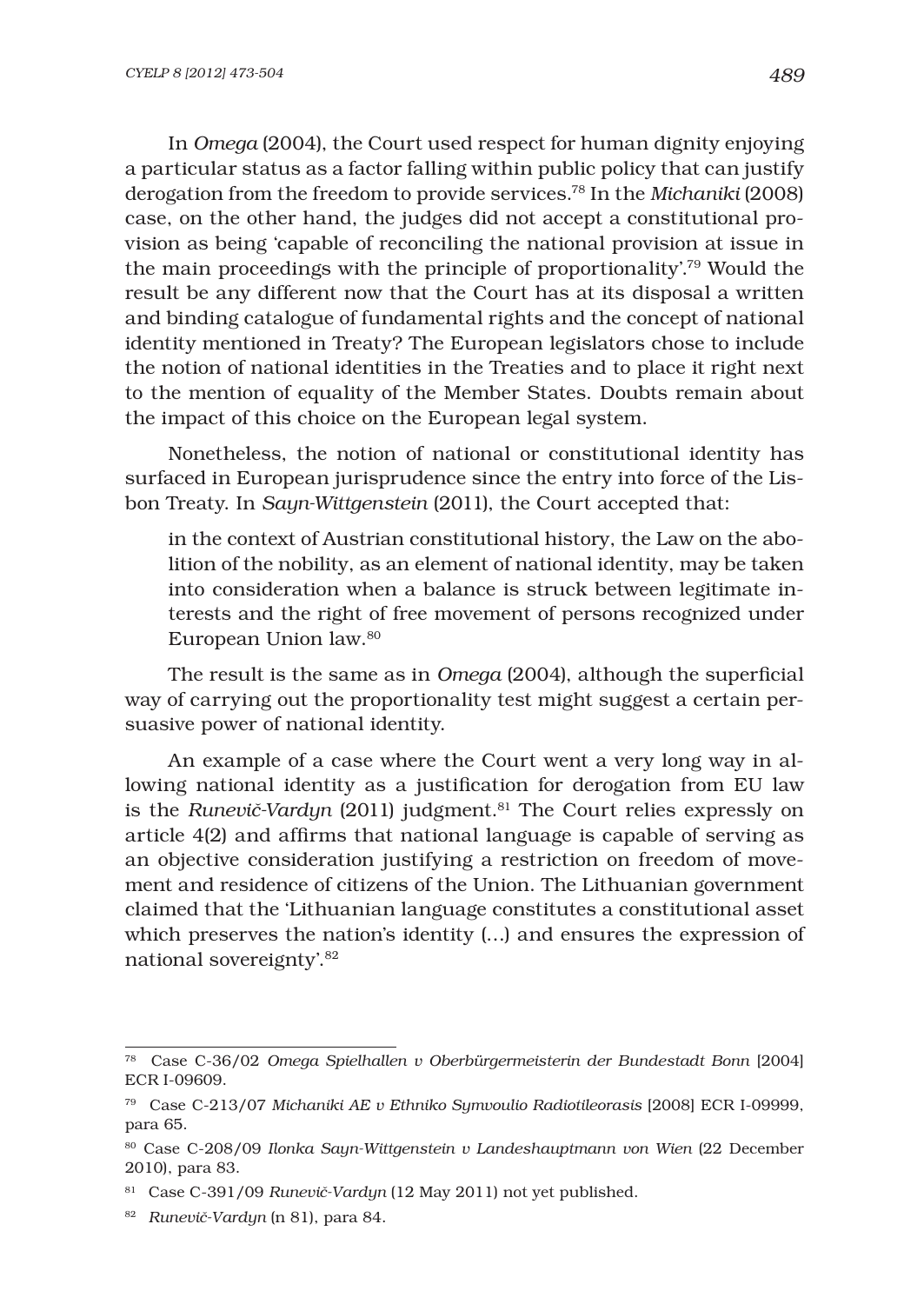In *Omega* (2004), the Court used respect for human dignity enjoying a particular status as a factor falling within public policy that can justify derogation from the freedom to provide services.78 In the *Michaniki* (2008) case, on the other hand, the judges did not accept a constitutional provision as being 'capable of reconciling the national provision at issue in the main proceedings with the principle of proportionality'.79 Would the result be any different now that the Court has at its disposal a written and binding catalogue of fundamental rights and the concept of national identity mentioned in Treaty? The European legislators chose to include the notion of national identities in the Treaties and to place it right next to the mention of equality of the Member States. Doubts remain about the impact of this choice on the European legal system.

Nonetheless, the notion of national or constitutional identity has surfaced in European jurisprudence since the entry into force of the Lisbon Treaty. In *Sayn-Wittgenstein* (2011), the Court accepted that:

in the context of Austrian constitutional history, the Law on the abolition of the nobility, as an element of national identity, may be taken into consideration when a balance is struck between legitimate interests and the right of free movement of persons recognized under European Union law.80

The result is the same as in *Omega* (2004), although the superficial way of carrying out the proportionality test might suggest a certain persuasive power of national identity.

An example of a case where the Court went a very long way in allowing national identity as a justification for derogation from EU law is the *RuneviË-Vardyn* (2011) judgment.81 The Court relies expressly on article  $4(2)$  and affirms that national language is capable of serving as an objective consideration justifying a restriction on freedom of movement and residence of citizens of the Union. The Lithuanian government claimed that the 'Lithuanian language constitutes a constitutional asset which preserves the nation's identity (…) and ensures the expression of national sovereignty'.82

<sup>78</sup> Case C-36/02 *Omega Spielhallen v Oberbürgermeisterin der Bundestadt Bonn* [2004] ECR I-09609.

<sup>79</sup> Case C-213/07 *Michaniki AE v Ethniko Symvoulio Radiotileorasis* [2008] ECR I-09999, para 65.

<sup>80</sup> Case C-208/09 *Ilonka Sayn-Wittgenstein v Landeshauptmann von Wien* (22 December 2010), para 83.

<sup>81</sup> Case C-391/09 *RuneviË-Vardyn* (12 May 2011) not yet published.

<sup>82</sup> *RuneviË-Vardyn* (n 81), para 84.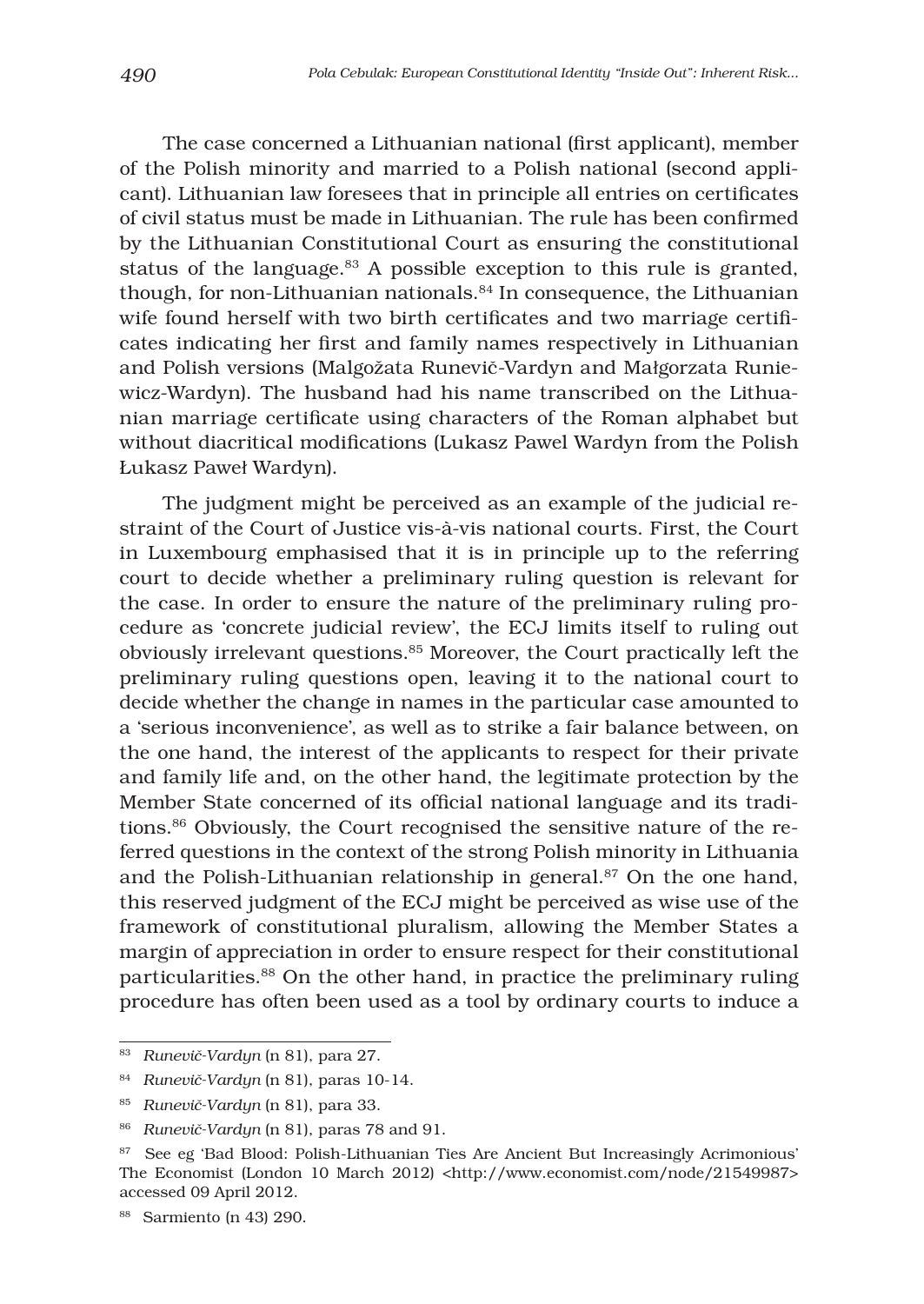The case concerned a Lithuanian national (first applicant), member of the Polish minority and married to a Polish national (second applicant). Lithuanian law foresees that in principle all entries on certificates of civil status must be made in Lithuanian. The rule has been confirmed by the Lithuanian Constitutional Court as ensuring the constitutional status of the language.<sup>83</sup> A possible exception to this rule is granted, though, for non-Lithuanian nationals.<sup>84</sup> In consequence, the Lithuanian wife found herself with two birth certificates and two marriage certificates indicating her first and family names respectively in Lithuanian and Polish versions (Malgožata RuneviË-Vardyn and Małgorzata Runiewicz-Wardyn). The husband had his name transcribed on the Lithuanian marriage certificate using characters of the Roman alphabet but without diacritical modifications (Lukasz Pawel Wardyn from the Polish Łukasz Paweł Wardyn).

The judgment might be perceived as an example of the judicial restraint of the Court of Justice vis-à-vis national courts. First, the Court in Luxembourg emphasised that it is in principle up to the referring court to decide whether a preliminary ruling question is relevant for the case. In order to ensure the nature of the preliminary ruling procedure as 'concrete judicial review', the ECJ limits itself to ruling out obviously irrelevant questions.85 Moreover, the Court practically left the preliminary ruling questions open, leaving it to the national court to decide whether the change in names in the particular case amounted to a 'serious inconvenience', as well as to strike a fair balance between, on the one hand, the interest of the applicants to respect for their private and family life and, on the other hand, the legitimate protection by the Member State concerned of its official national language and its traditions.86 Obviously, the Court recognised the sensitive nature of the referred questions in the context of the strong Polish minority in Lithuania and the Polish-Lithuanian relationship in general.<sup>87</sup> On the one hand, this reserved judgment of the ECJ might be perceived as wise use of the framework of constitutional pluralism, allowing the Member States a margin of appreciation in order to ensure respect for their constitutional particularities.88 On the other hand, in practice the preliminary ruling procedure has often been used as a tool by ordinary courts to induce a

<sup>83</sup> *RuneviË-Vardyn* (n 81), para 27.

<sup>84</sup> *RuneviË-Vardyn* (n 81), paras 10-14.

<sup>85</sup> *RuneviË-Vardyn* (n 81), para 33.

<sup>86</sup> *RuneviË-Vardyn* (n 81), paras 78 and 91.

<sup>&</sup>lt;sup>87</sup> See eg 'Bad Blood: Polish-Lithuanian Ties Are Ancient But Increasingly Acrimonious' The Economist (London 10 March 2012) <http://www.economist.com/node/21549987> accessed 09 April 2012.

<sup>88</sup> Sarmiento (n 43) 290.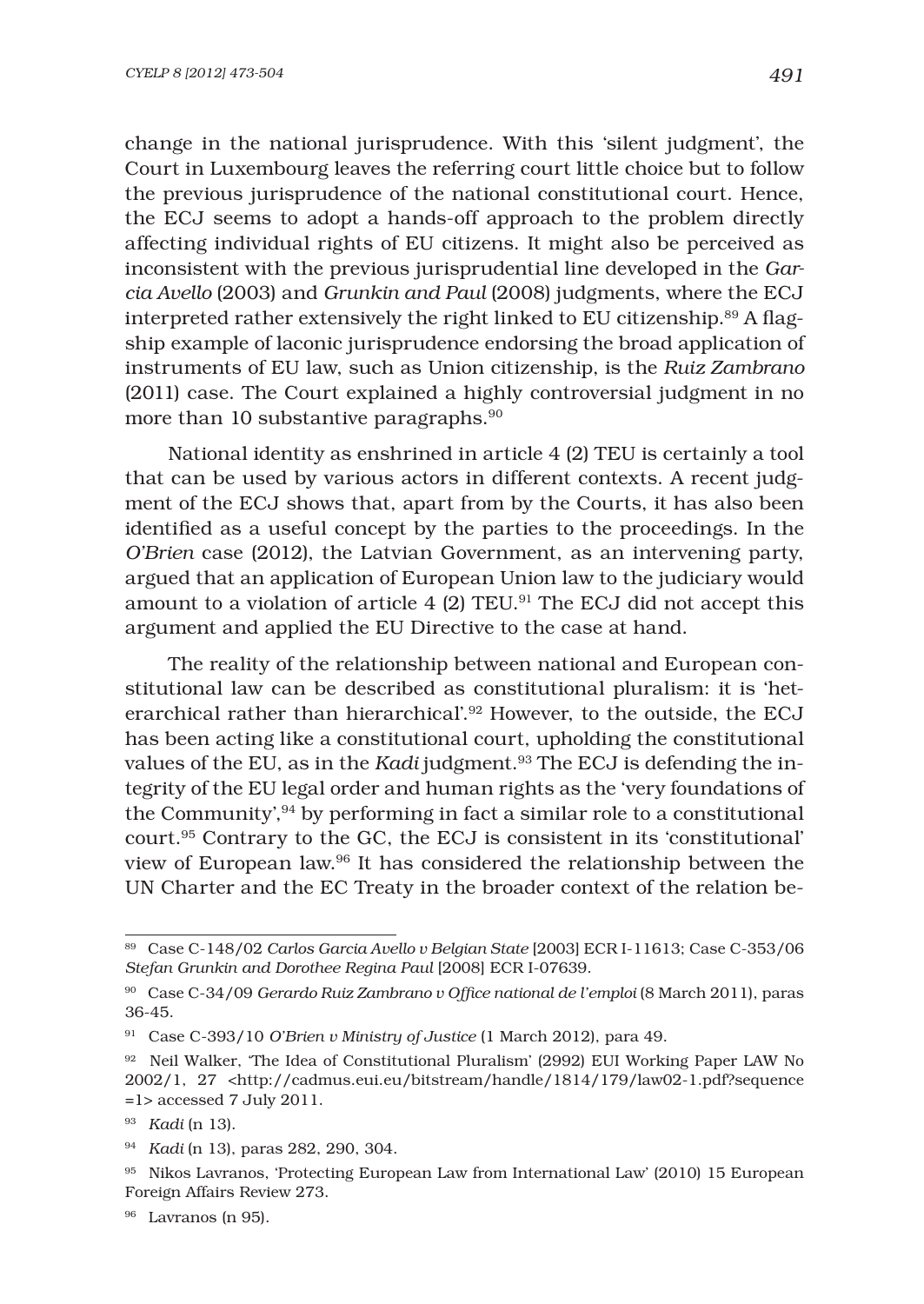change in the national jurisprudence. With this 'silent judgment', the Court in Luxembourg leaves the referring court little choice but to follow the previous jurisprudence of the national constitutional court. Hence, the ECJ seems to adopt a hands-off approach to the problem directly affecting individual rights of EU citizens. It might also be perceived as inconsistent with the previous jurisprudential line developed in the *Garcia Avello* (2003) and *Grunkin and Paul* (2008) judgments, where the ECJ interpreted rather extensively the right linked to EU citizenship. $89$  A flagship example of laconic jurisprudence endorsing the broad application of instruments of EU law, such as Union citizenship, is the *Ruiz Zambrano* (2011) case. The Court explained a highly controversial judgment in no more than 10 substantive paragraphs.<sup>90</sup>

National identity as enshrined in article 4 (2) TEU is certainly a tool that can be used by various actors in different contexts. A recent judgment of the ECJ shows that, apart from by the Courts, it has also been identified as a useful concept by the parties to the proceedings. In the *O'Brien* case (2012), the Latvian Government, as an intervening party, argued that an application of European Union law to the judiciary would amount to a violation of article  $4$  (2) TEU.<sup>91</sup> The ECJ did not accept this argument and applied the EU Directive to the case at hand.

The reality of the relationship between national and European constitutional law can be described as constitutional pluralism: it is 'heterarchical rather than hierarchical'.92 However, to the outside, the ECJ has been acting like a constitutional court, upholding the constitutional values of the EU, as in the *Kadi* judgment.<sup>93</sup> The ECJ is defending the integrity of the EU legal order and human rights as the 'very foundations of the Community', $94$  by performing in fact a similar role to a constitutional court.95 Contrary to the GC, the ECJ is consistent in its 'constitutional' view of European law.96 It has considered the relationship between the UN Charter and the EC Treaty in the broader context of the relation be-

<sup>89</sup> Case C-148/02 *Carlos Garcia Avello v Belgian State* [2003] ECR I-11613; Case C-353/06 *Stefan Grunkin and Dorothee Regina Paul* [2008] ECR I-07639.

<sup>&</sup>lt;sup>90</sup> Case C-34/09 *Gerardo Ruiz Zambrano v Office national de l'emploi* (8 March 2011), paras 36-45.

<sup>91</sup> Case C-393/10 *O'Brien v Ministry of Justice* (1 March 2012), para 49.

<sup>92</sup> Neil Walker, 'The Idea of Constitutional Pluralism' (2992) EUI Working Paper LAW No 2002/1, 27 <http://cadmus.eui.eu/bitstream/handle/1814/179/law02-1.pdf?sequence =1> accessed 7 July 2011.

<sup>93</sup> *Kadi* (n 13).

<sup>94</sup> *Kadi* (n 13), paras 282, 290, 304.

<sup>95</sup> Nikos Lavranos, 'Protecting European Law from International Law' (2010) 15 European Foreign Affairs Review 273.

<sup>96</sup> Lavranos (n 95).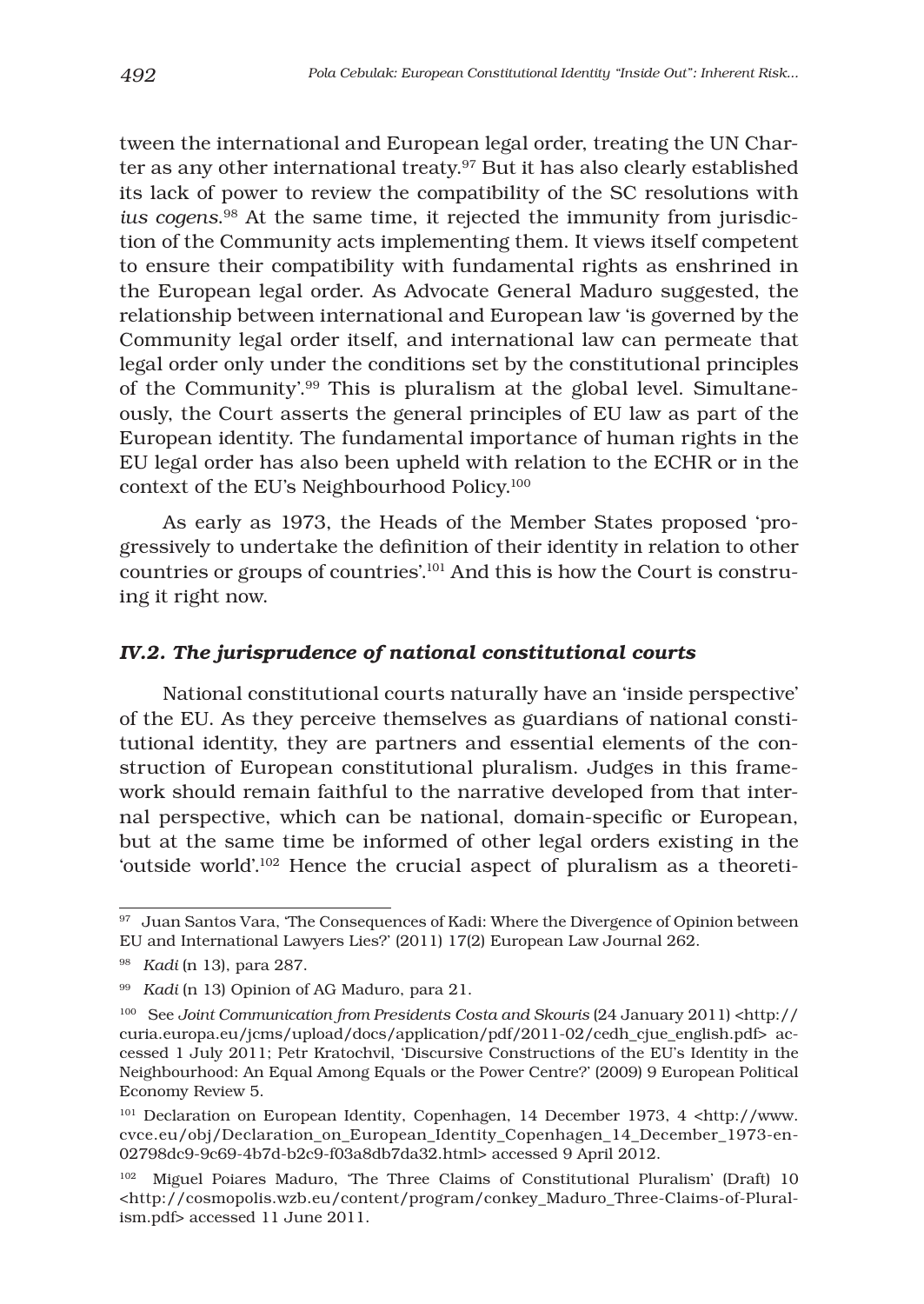tween the international and European legal order, treating the UN Charter as any other international treaty.<sup>97</sup> But it has also clearly established its lack of power to review the compatibility of the SC resolutions with *ius cogens*. 98 At the same time, it rejected the immunity from jurisdiction of the Community acts implementing them. It views itself competent to ensure their compatibility with fundamental rights as enshrined in the European legal order. As Advocate General Maduro suggested, the relationship between international and European law 'is governed by the Community legal order itself, and international law can permeate that legal order only under the conditions set by the constitutional principles of the Community'.99 This is pluralism at the global level. Simultaneously, the Court asserts the general principles of EU law as part of the European identity. The fundamental importance of human rights in the EU legal order has also been upheld with relation to the ECHR or in the context of the EU's Neighbourhood Policy.100

As early as 1973, the Heads of the Member States proposed 'progressively to undertake the definition of their identity in relation to other countries or groups of countries'.101 And this is how the Court is construing it right now.

#### *IV.2. The jurisprudence of national constitutional courts*

National constitutional courts naturally have an 'inside perspective' of the EU. As they perceive themselves as guardians of national constitutional identity, they are partners and essential elements of the construction of European constitutional pluralism. Judges in this framework should remain faithful to the narrative developed from that internal perspective, which can be national, domain-specific or European, but at the same time be informed of other legal orders existing in the 'outside world'.102 Hence the crucial aspect of pluralism as a theoreti-

<sup>&</sup>lt;sup>97</sup> Juan Santos Vara, 'The Consequences of Kadi: Where the Divergence of Opinion between EU and International Lawyers Lies?' (2011) 17(2) European Law Journal 262.

<sup>98</sup> *Kadi* (n 13), para 287.

<sup>99</sup> *Kadi* (n 13) Opinion of AG Maduro, para 21.

<sup>&</sup>lt;sup>100</sup> See *Joint Communication from Presidents Costa and Skouris* (24 January 2011) <http:// curia.europa.eu/jcms/upload/docs/application/pdf/2011-02/cedh\_cjue\_english.pdf> accessed 1 July 2011; Petr Kratochvil, 'Discursive Constructions of the EU's Identity in the Neighbourhood: An Equal Among Equals or the Power Centre?' (2009) 9 European Political Economy Review 5.

<sup>&</sup>lt;sup>101</sup> Declaration on European Identity, Copenhagen, 14 December 1973, 4 <http://www. cvce.eu/obj/Declaration\_on\_European\_Identity\_Copenhagen\_14\_December\_1973-en-02798dc9-9c69-4b7d-b2c9-f03a8db7da32.html> accessed 9 April 2012.

<sup>102</sup> Miguel Poiares Maduro, 'The Three Claims of Constitutional Pluralism' (Draft) 10 <http://cosmopolis.wzb.eu/content/program/conkey\_Maduro\_Three-Claims-of-Pluralism.pdf> accessed 11 June 2011.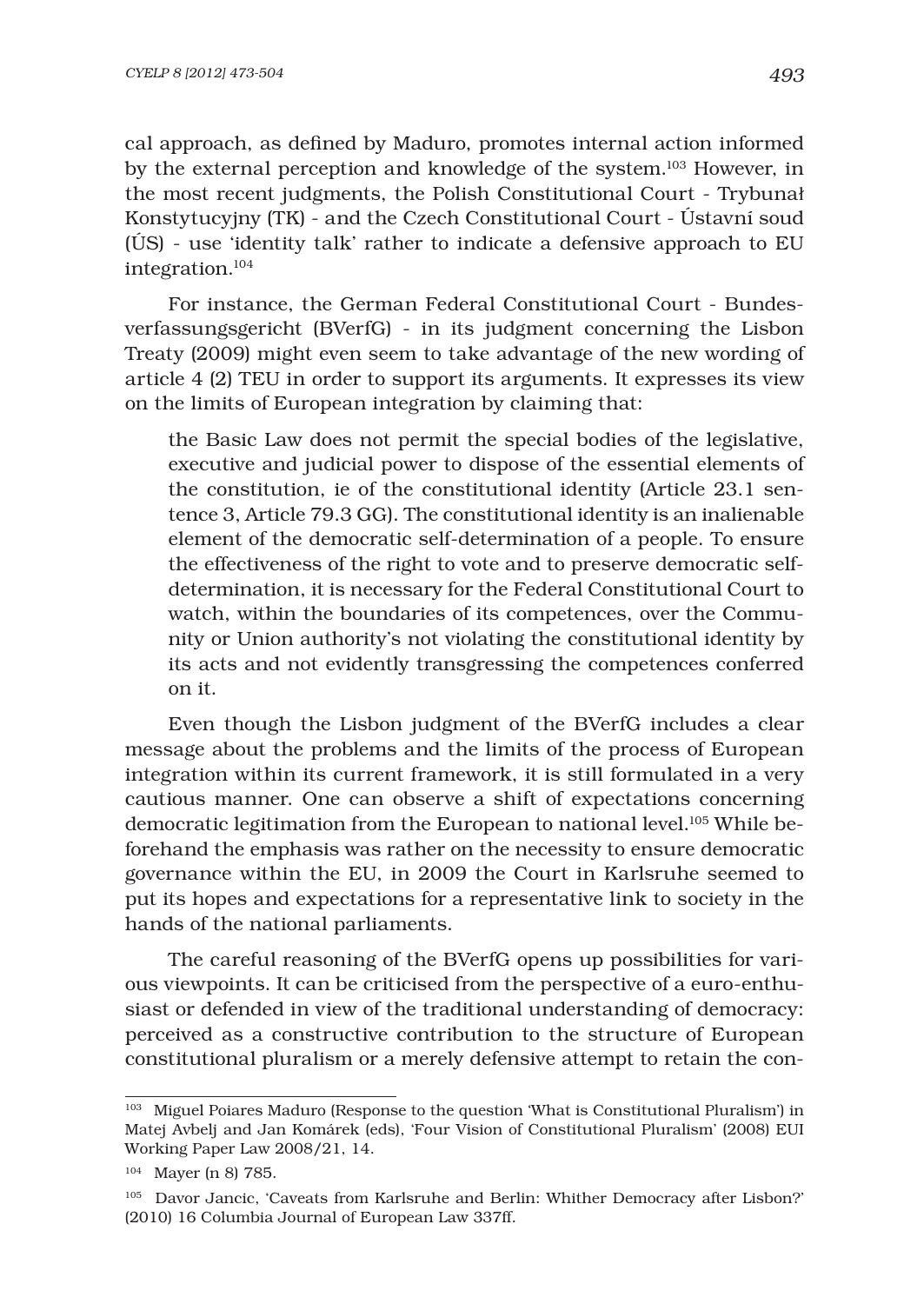cal approach, as defined by Maduro, promotes internal action informed by the external perception and knowledge of the system.103 However, in the most recent judgments, the Polish Constitutional Court - Trybunał Konstytucyjny (TK) - and the Czech Constitutional Court - Ústavní soud (ÚS) - use 'identity talk' rather to indicate a defensive approach to EU integration.104

For instance, the German Federal Constitutional Court - Bundesverfassungsgericht (BVerfG) - in its judgment concerning the Lisbon Treaty (2009) might even seem to take advantage of the new wording of article 4 (2) TEU in order to support its arguments. It expresses its view on the limits of European integration by claiming that:

the Basic Law does not permit the special bodies of the legislative, executive and judicial power to dispose of the essential elements of the constitution, ie of the constitutional identity (Article 23.1 sentence 3, Article 79.3 GG). The constitutional identity is an inalienable element of the democratic self-determination of a people. To ensure the effectiveness of the right to vote and to preserve democratic selfdetermination, it is necessary for the Federal Constitutional Court to watch, within the boundaries of its competences, over the Community or Union authority's not violating the constitutional identity by its acts and not evidently transgressing the competences conferred on it.

Even though the Lisbon judgment of the BVerfG includes a clear message about the problems and the limits of the process of European integration within its current framework, it is still formulated in a very cautious manner. One can observe a shift of expectations concerning democratic legitimation from the European to national level.<sup>105</sup> While beforehand the emphasis was rather on the necessity to ensure democratic governance within the EU, in 2009 the Court in Karlsruhe seemed to put its hopes and expectations for a representative link to society in the hands of the national parliaments.

The careful reasoning of the BVerfG opens up possibilities for various viewpoints. It can be criticised from the perspective of a euro-enthusiast or defended in view of the traditional understanding of democracy: perceived as a constructive contribution to the structure of European constitutional pluralism or a merely defensive attempt to retain the con-

<sup>&</sup>lt;sup>103</sup> Miguel Poiares Maduro (Response to the question 'What is Constitutional Pluralism') in Matej Avbelj and Jan Komárek (eds), 'Four Vision of Constitutional Pluralism' (2008) EUI Working Paper Law 2008/21, 14.

<sup>104</sup> Mayer (n 8) 785.

<sup>105</sup> Davor Jancic, 'Caveats from Karlsruhe and Berlin: Whither Democracy after Lisbon?' (2010) 16 Columbia Journal of European Law 337ff.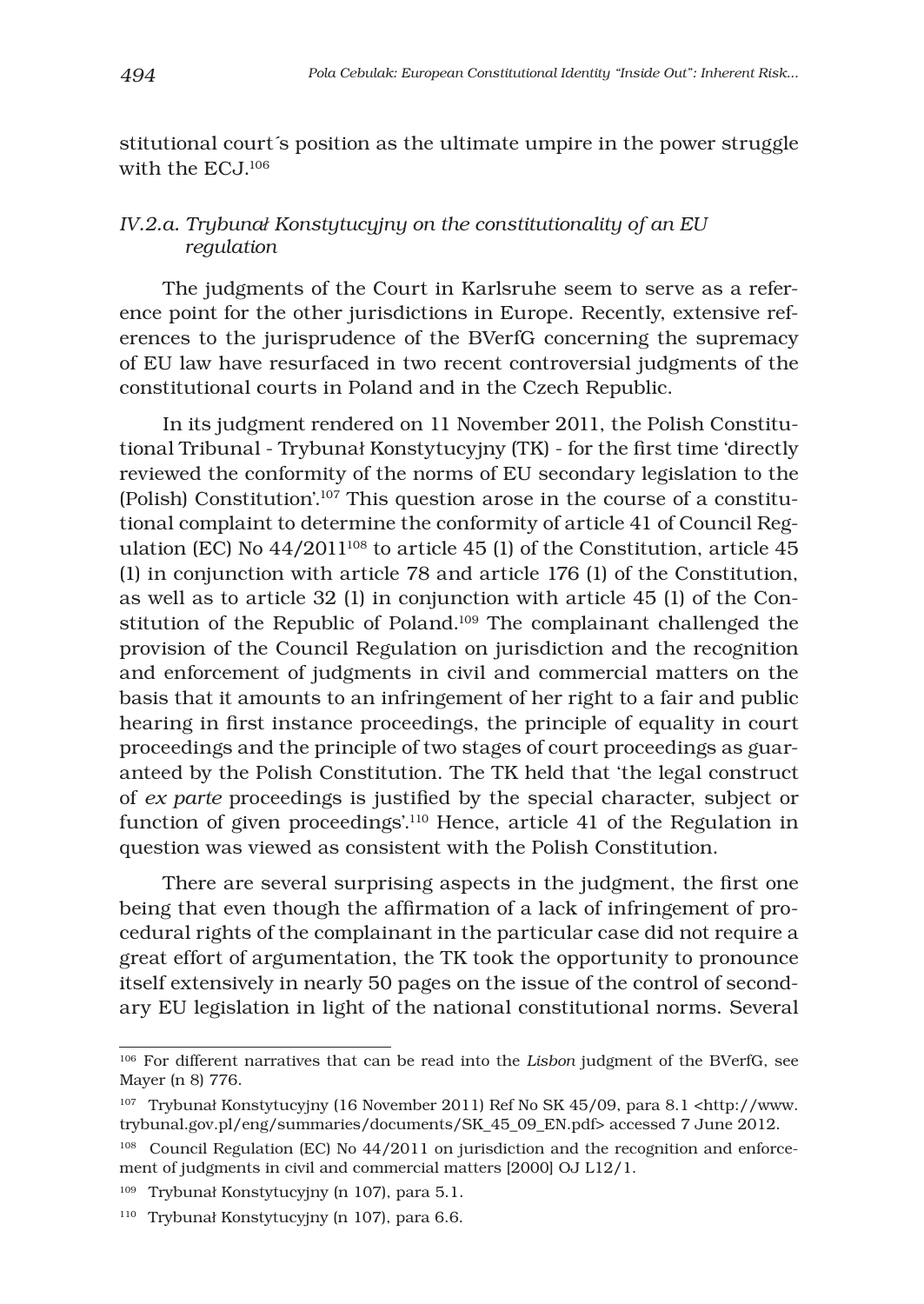stitutional court´s position as the ultimate umpire in the power struggle with the EC<sub>J</sub><sup>106</sup>

# *IV.2.a. Trybunał Konstytucyjny on the constitutionality of an EU regulation*

The judgments of the Court in Karlsruhe seem to serve as a reference point for the other jurisdictions in Europe. Recently, extensive references to the jurisprudence of the BVerfG concerning the supremacy of EU law have resurfaced in two recent controversial judgments of the constitutional courts in Poland and in the Czech Republic.

In its judgment rendered on 11 November 2011, the Polish Constitutional Tribunal - Trybunał Konstytucyjny (TK) - for the first time 'directly reviewed the conformity of the norms of EU secondary legislation to the (Polish) Constitution'.107 This question arose in the course of a constitutional complaint to determine the conformity of article 41 of Council Regulation (EC) No  $44/2011^{108}$  to article 45 (1) of the Constitution, article 45 (1) in conjunction with article 78 and article 176 (1) of the Constitution, as well as to article 32 (1) in conjunction with article 45 (1) of the Constitution of the Republic of Poland.109 The complainant challenged the provision of the Council Regulation on jurisdiction and the recognition and enforcement of judgments in civil and commercial matters on the basis that it amounts to an infringement of her right to a fair and public hearing in first instance proceedings, the principle of equality in court proceedings and the principle of two stages of court proceedings as guaranteed by the Polish Constitution. The TK held that 'the legal construct of *ex parte* proceedings is justified by the special character, subject or function of given proceedings'.110 Hence, article 41 of the Regulation in question was viewed as consistent with the Polish Constitution.

There are several surprising aspects in the judgment, the first one being that even though the affirmation of a lack of infringement of procedural rights of the complainant in the particular case did not require a great effort of argumentation, the TK took the opportunity to pronounce itself extensively in nearly 50 pages on the issue of the control of secondary EU legislation in light of the national constitutional norms. Several

<sup>106</sup> For different narratives that can be read into the *Lisbon* judgment of the BVerfG, see Mayer (n 8) 776.

<sup>&</sup>lt;sup>107</sup> Trybunał Konstytucyjny (16 November 2011) Ref No SK 45/09, para 8.1 <http://www. trybunal.gov.pl/eng/summaries/documents/SK\_45\_09\_EN.pdf> accessed 7 June 2012.

<sup>108</sup> Council Regulation (EC) No 44/2011 on jurisdiction and the recognition and enforcement of judgments in civil and commercial matters [2000] OJ L12/1.

<sup>109</sup> Trybunał Konstytucyjny (n 107), para 5.1.

<sup>110</sup> Trybunał Konstytucyjny (n 107), para 6.6.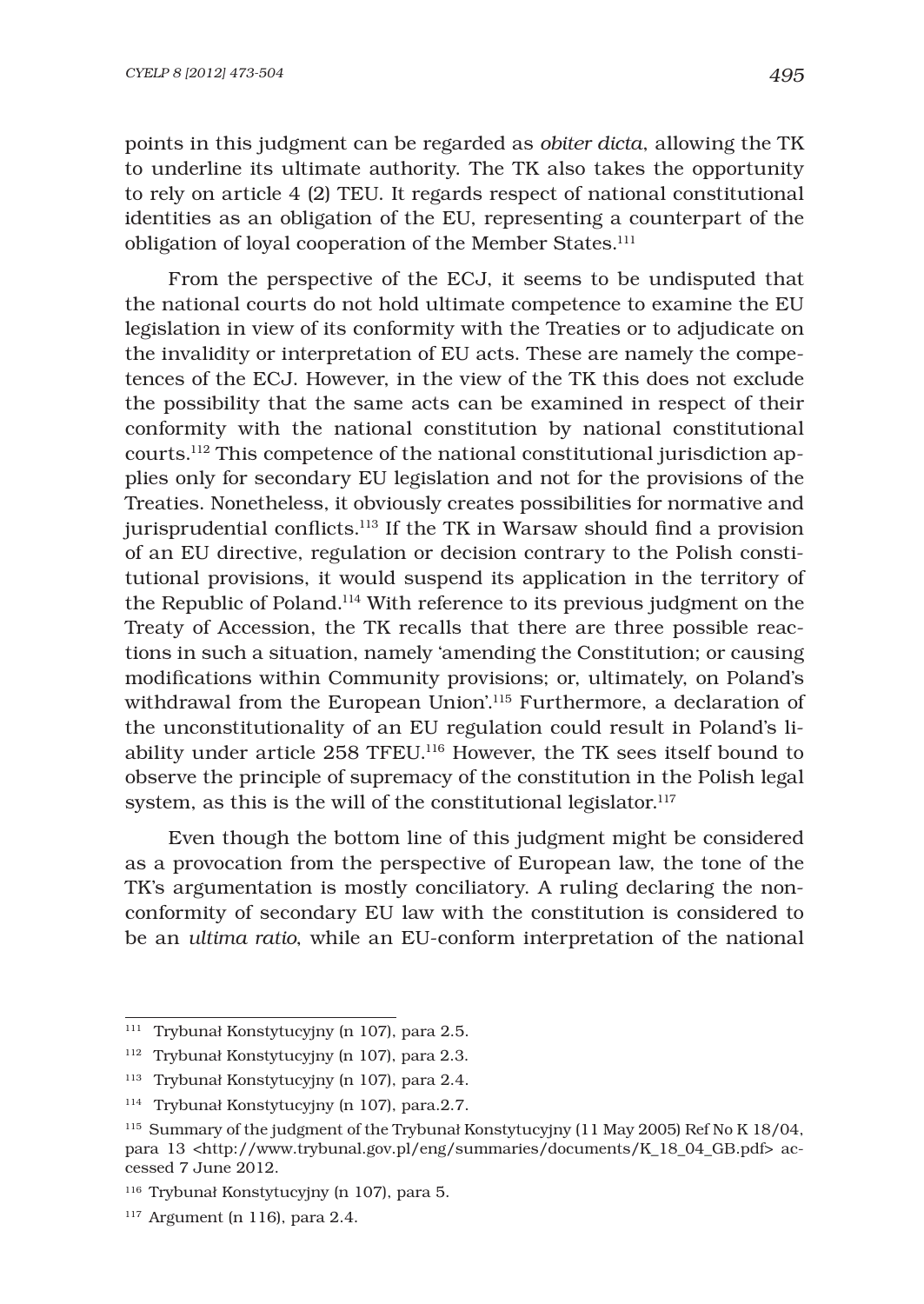points in this judgment can be regarded as *obiter dicta*, allowing the TK to underline its ultimate authority. The TK also takes the opportunity to rely on article 4 (2) TEU. It regards respect of national constitutional identities as an obligation of the EU, representing a counterpart of the obligation of loyal cooperation of the Member States.<sup>111</sup>

From the perspective of the ECJ, it seems to be undisputed that the national courts do not hold ultimate competence to examine the EU legislation in view of its conformity with the Treaties or to adjudicate on the invalidity or interpretation of EU acts. These are namely the competences of the ECJ. However, in the view of the TK this does not exclude the possibility that the same acts can be examined in respect of their conformity with the national constitution by national constitutional courts.112 This competence of the national constitutional jurisdiction applies only for secondary EU legislation and not for the provisions of the Treaties. Nonetheless, it obviously creates possibilities for normative and jurisprudential conflicts. $113$  If the TK in Warsaw should find a provision of an EU directive, regulation or decision contrary to the Polish constitutional provisions, it would suspend its application in the territory of the Republic of Poland.114 With reference to its previous judgment on the Treaty of Accession, the TK recalls that there are three possible reactions in such a situation, namely 'amending the Constitution; or causing modifications within Community provisions; or, ultimately, on Poland's withdrawal from the European Union'.115 Furthermore, a declaration of the unconstitutionality of an EU regulation could result in Poland's liability under article 258 TFEU.116 However, the TK sees itself bound to observe the principle of supremacy of the constitution in the Polish legal system, as this is the will of the constitutional legislator.<sup>117</sup>

Even though the bottom line of this judgment might be considered as a provocation from the perspective of European law, the tone of the TK's argumentation is mostly conciliatory. A ruling declaring the nonconformity of secondary EU law with the constitution is considered to be an *ultima ratio*, while an EU-conform interpretation of the national

<sup>111</sup> Trybunał Konstytucyjny (n 107), para 2.5.

<sup>112</sup> Trybunał Konstytucyjny (n 107), para 2.3.

<sup>113</sup> Trybunał Konstytucyjny (n 107), para 2.4.

<sup>114</sup> Trybunał Konstytucyjny (n 107), para.2.7.

<sup>115</sup> Summary of the judgment of the Trybunał Konstytucyjny (11 May 2005) Ref No K 18/04, para 13 <http://www.trybunal.gov.pl/eng/summaries/documents/K\_18\_04\_GB.pdf> accessed 7 June 2012.

<sup>116</sup> Trybunał Konstytucyjny (n 107), para 5.

 $117$  Argument (n 116), para 2.4.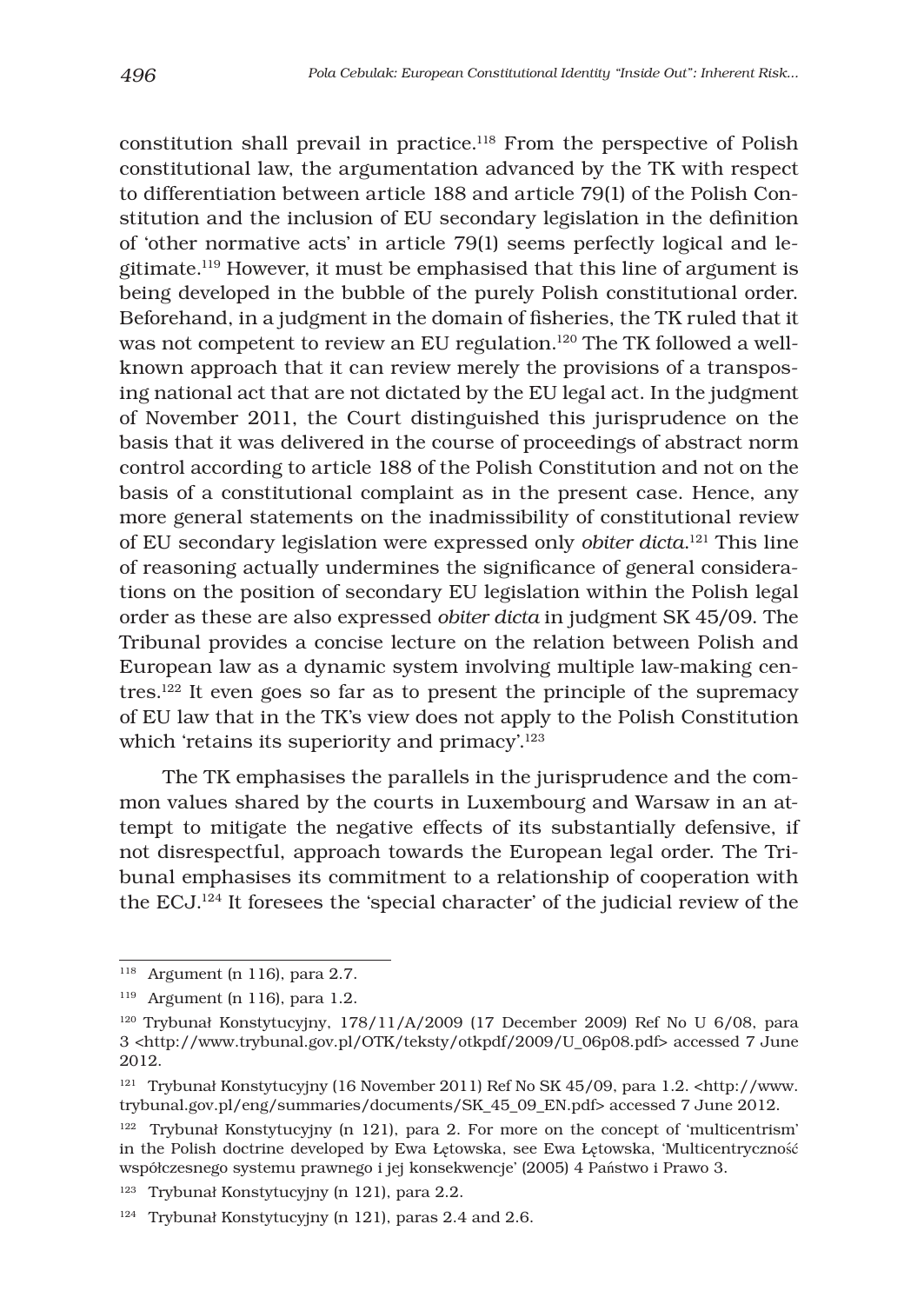constitution shall prevail in practice.118 From the perspective of Polish constitutional law, the argumentation advanced by the TK with respect to differentiation between article 188 and article 79(1) of the Polish Constitution and the inclusion of EU secondary legislation in the definition of 'other normative acts' in article 79(1) seems perfectly logical and legitimate.119 However, it must be emphasised that this line of argument is being developed in the bubble of the purely Polish constitutional order. Beforehand, in a judgment in the domain of fisheries, the TK ruled that it was not competent to review an EU regulation.<sup>120</sup> The TK followed a wellknown approach that it can review merely the provisions of a transposing national act that are not dictated by the EU legal act. In the judgment of November 2011, the Court distinguished this jurisprudence on the basis that it was delivered in the course of proceedings of abstract norm control according to article 188 of the Polish Constitution and not on the basis of a constitutional complaint as in the present case. Hence, any more general statements on the inadmissibility of constitutional review of EU secondary legislation were expressed only *obiter dicta*. 121 This line of reasoning actually undermines the significance of general considerations on the position of secondary EU legislation within the Polish legal order as these are also expressed *obiter dicta* in judgment SK 45/09. The Tribunal provides a concise lecture on the relation between Polish and European law as a dynamic system involving multiple law-making centres.122 It even goes so far as to present the principle of the supremacy of EU law that in the TK's view does not apply to the Polish Constitution which 'retains its superiority and primacy'.<sup>123</sup>

The TK emphasises the parallels in the jurisprudence and the common values shared by the courts in Luxembourg and Warsaw in an attempt to mitigate the negative effects of its substantially defensive, if not disrespectful, approach towards the European legal order. The Tribunal emphasises its commitment to a relationship of cooperation with the ECJ.124 It foresees the 'special character' of the judicial review of the

<sup>118</sup> Argument (n 116), para 2.7.

<sup>119</sup> Argument (n 116), para 1.2.

<sup>120</sup> Trybunał Konstytucyjny, 178/11/A/2009 (17 December 2009) Ref No U 6/08, para 3 <http://www.trybunal.gov.pl/OTK/teksty/otkpdf/2009/U\_06p08.pdf> accessed 7 June 2012.

<sup>&</sup>lt;sup>121</sup> Trybunał Konstytucyjny (16 November 2011) Ref No SK 45/09, para 1.2. <http://www. trybunal.gov.pl/eng/summaries/documents/SK\_45\_09\_EN.pdf> accessed 7 June 2012.

<sup>122</sup> Trybunał Konstytucyjny (n 121), para 2. For more on the concept of 'multicentrism' in the Polish doctrine developed by Ewa Łętowska, see Ewa Łętowska, 'Multicentryczność współczesnego systemu prawnego i jej konsekwencje' (2005) 4 Państwo i Prawo 3.

<sup>123</sup> Trybunał Konstytucyjny (n 121), para 2.2.

<sup>&</sup>lt;sup>124</sup> Trybunał Konstytucyjny (n 121), paras 2.4 and 2.6.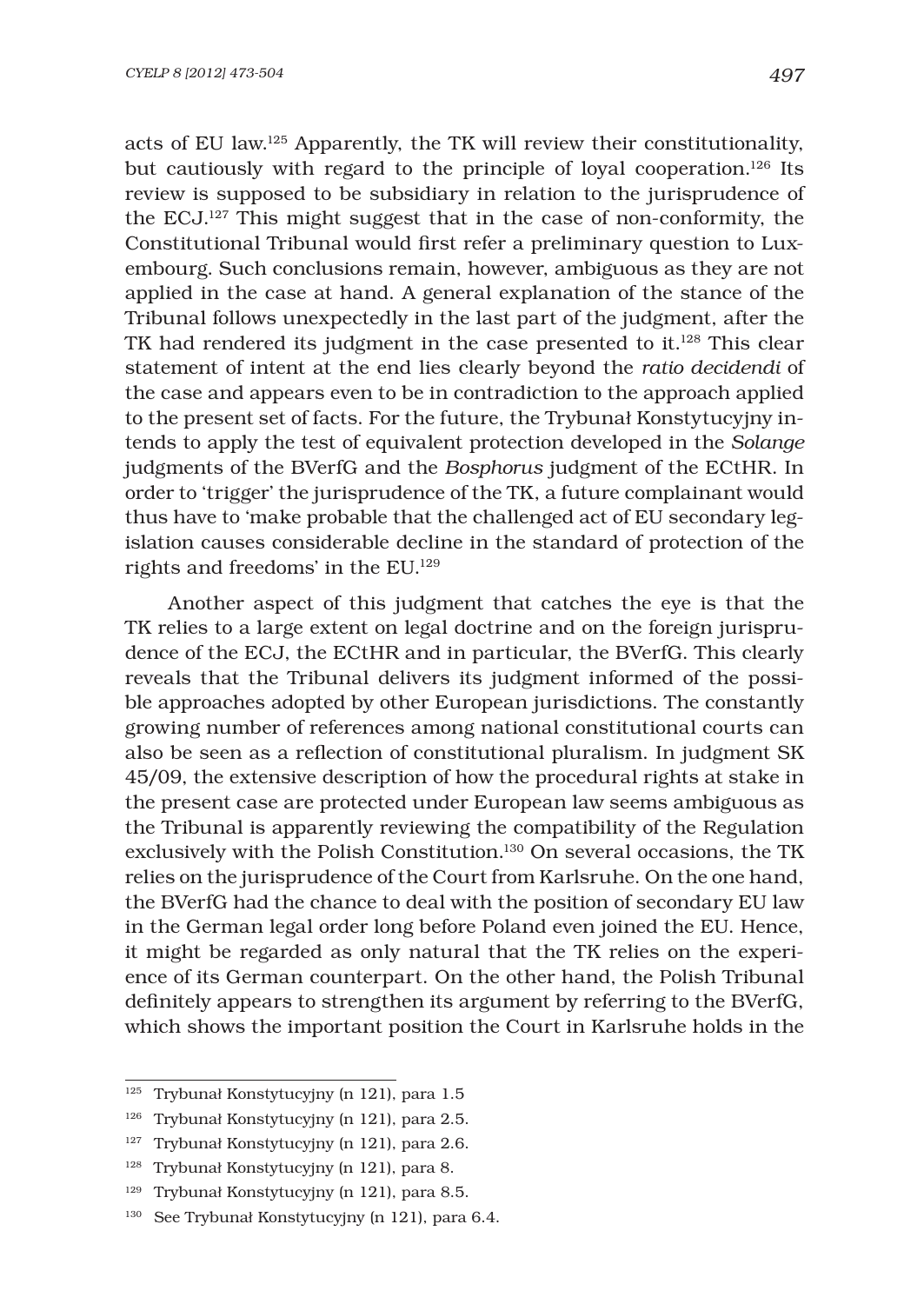acts of EU law.125 Apparently, the TK will review their constitutionality, but cautiously with regard to the principle of loyal cooperation.126 Its review is supposed to be subsidiary in relation to the jurisprudence of the ECJ.127 This might suggest that in the case of non-conformity, the Constitutional Tribunal would first refer a preliminary question to Luxembourg. Such conclusions remain, however, ambiguous as they are not applied in the case at hand. A general explanation of the stance of the Tribunal follows unexpectedly in the last part of the judgment, after the TK had rendered its judgment in the case presented to it.128 This clear statement of intent at the end lies clearly beyond the *ratio decidendi* of the case and appears even to be in contradiction to the approach applied to the present set of facts. For the future, the Trybunał Konstytucyjny intends to apply the test of equivalent protection developed in the *Solange* judgments of the BVerfG and the *Bosphorus* judgment of the ECtHR. In order to 'trigger' the jurisprudence of the TK, a future complainant would thus have to 'make probable that the challenged act of EU secondary legislation causes considerable decline in the standard of protection of the rights and freedoms' in the EU.129

Another aspect of this judgment that catches the eye is that the TK relies to a large extent on legal doctrine and on the foreign jurisprudence of the ECJ, the ECtHR and in particular, the BVerfG. This clearly reveals that the Tribunal delivers its judgment informed of the possible approaches adopted by other European jurisdictions. The constantly growing number of references among national constitutional courts can also be seen as a reflection of constitutional pluralism. In judgment SK 45/09, the extensive description of how the procedural rights at stake in the present case are protected under European law seems ambiguous as the Tribunal is apparently reviewing the compatibility of the Regulation exclusively with the Polish Constitution.<sup>130</sup> On several occasions, the TK relies on the jurisprudence of the Court from Karlsruhe. On the one hand, the BVerfG had the chance to deal with the position of secondary EU law in the German legal order long before Poland even joined the EU. Hence, it might be regarded as only natural that the TK relies on the experience of its German counterpart. On the other hand, the Polish Tribunal definitely appears to strengthen its argument by referring to the BVerfG, which shows the important position the Court in Karlsruhe holds in the

<sup>125</sup> Trybunał Konstytucyjny (n 121), para 1.5

<sup>126</sup> Trybunał Konstytucyjny (n 121), para 2.5.

<sup>127</sup> Trybunał Konstytucyjny (n 121), para 2.6.

<sup>128</sup> Trybunał Konstytucyjny (n 121), para 8.

<sup>129</sup> Trybunał Konstytucyjny (n 121), para 8.5.

<sup>130</sup> See Trybunał Konstytucyjny (n 121), para 6.4.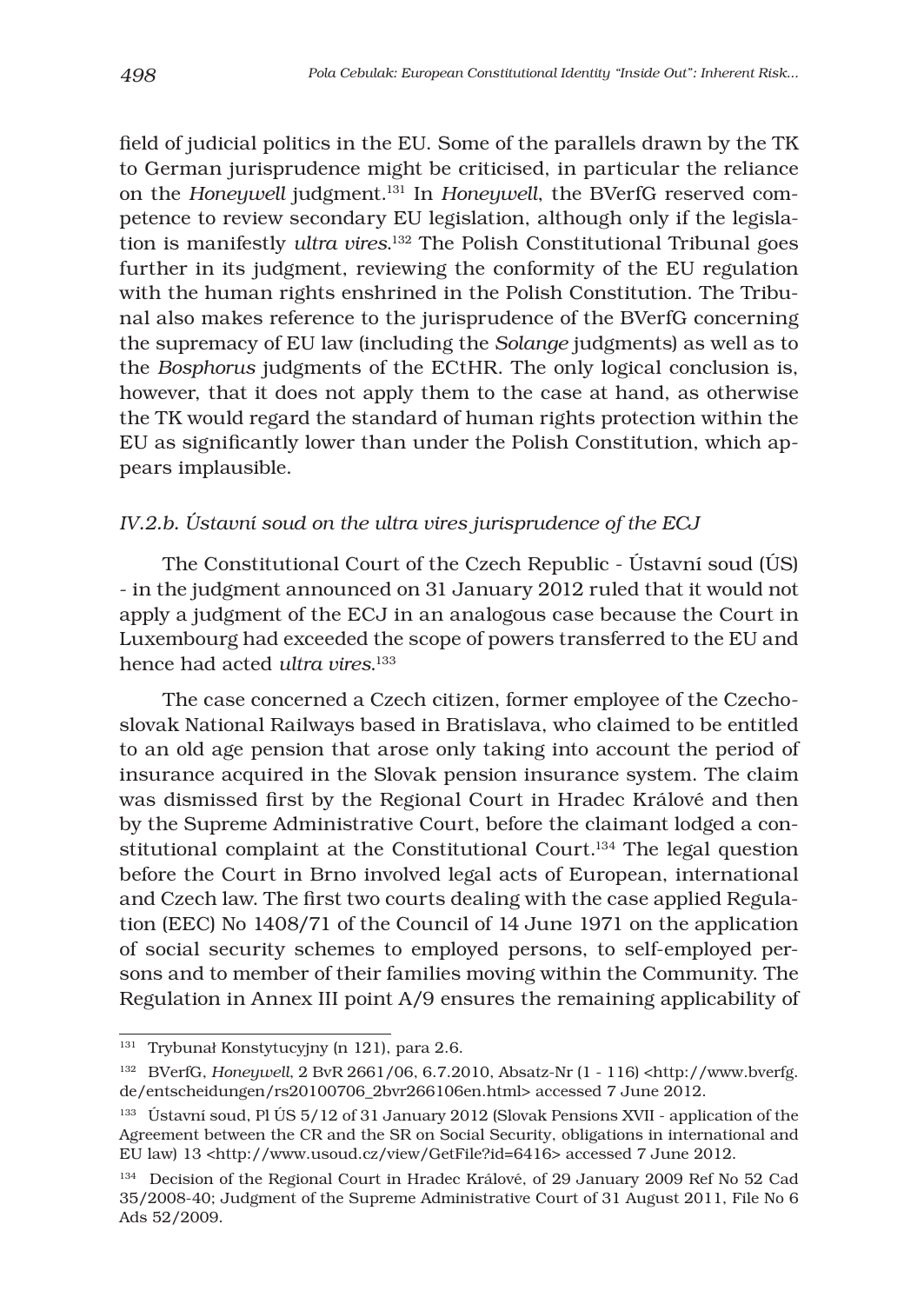field of judicial politics in the EU. Some of the parallels drawn by the TK to German jurisprudence might be criticised, in particular the reliance on the *Honeywell* judgment.131 In *Honeywell*, the BVerfG reserved competence to review secondary EU legislation, although only if the legislation is manifestly *ultra vires*. 132 The Polish Constitutional Tribunal goes further in its judgment, reviewing the conformity of the EU regulation with the human rights enshrined in the Polish Constitution. The Tribunal also makes reference to the jurisprudence of the BVerfG concerning the supremacy of EU law (including the *Solange* judgments) as well as to the *Bosphorus* judgments of the ECtHR. The only logical conclusion is, however, that it does not apply them to the case at hand, as otherwise the TK would regard the standard of human rights protection within the EU as significantly lower than under the Polish Constitution, which appears implausible.

# *IV.2.b. Ústavní soud on the ultra vires jurisprudence of the ECJ*

The Constitutional Court of the Czech Republic - Ústavní soud (ÚS) - in the judgment announced on 31 January 2012 ruled that it would not apply a judgment of the ECJ in an analogous case because the Court in Luxembourg had exceeded the scope of powers transferred to the EU and hence had acted *ultra vires*. 133

The case concerned a Czech citizen, former employee of the Czechoslovak National Railways based in Bratislava, who claimed to be entitled to an old age pension that arose only taking into account the period of insurance acquired in the Slovak pension insurance system. The claim was dismissed first by the Regional Court in Hradec Králové and then by the Supreme Administrative Court, before the claimant lodged a constitutional complaint at the Constitutional Court.<sup>134</sup> The legal question before the Court in Brno involved legal acts of European, international and Czech law. The first two courts dealing with the case applied Regulation (EEC) No 1408/71 of the Council of 14 June 1971 on the application of social security schemes to employed persons, to self-employed persons and to member of their families moving within the Community. The Regulation in Annex III point A/9 ensures the remaining applicability of

<sup>131</sup> Trybunał Konstytucyjny (n 121), para 2.6.

<sup>132</sup> BVerfG, *Honeywell*, 2 BvR 2661/06, 6.7.2010, Absatz-Nr (1 - 116) <http://www.bverfg. de/entscheidungen/rs20100706\_2bvr266106en.html> accessed 7 June 2012.

<sup>133</sup> Ústavní soud, Pl ÚS 5/12 of 31 January 2012 (Slovak Pensions XVII - application of the Agreement between the CR and the SR on Social Security, obligations in international and EU law) 13 <http://www.usoud.cz/view/GetFile?id=6416> accessed 7 June 2012.

<sup>134</sup> Decision of the Regional Court in Hradec Králové, of 29 January 2009 Ref No 52 Cad 35/2008-40; Judgment of the Supreme Administrative Court of 31 August 2011, File No 6 Ads 52/2009.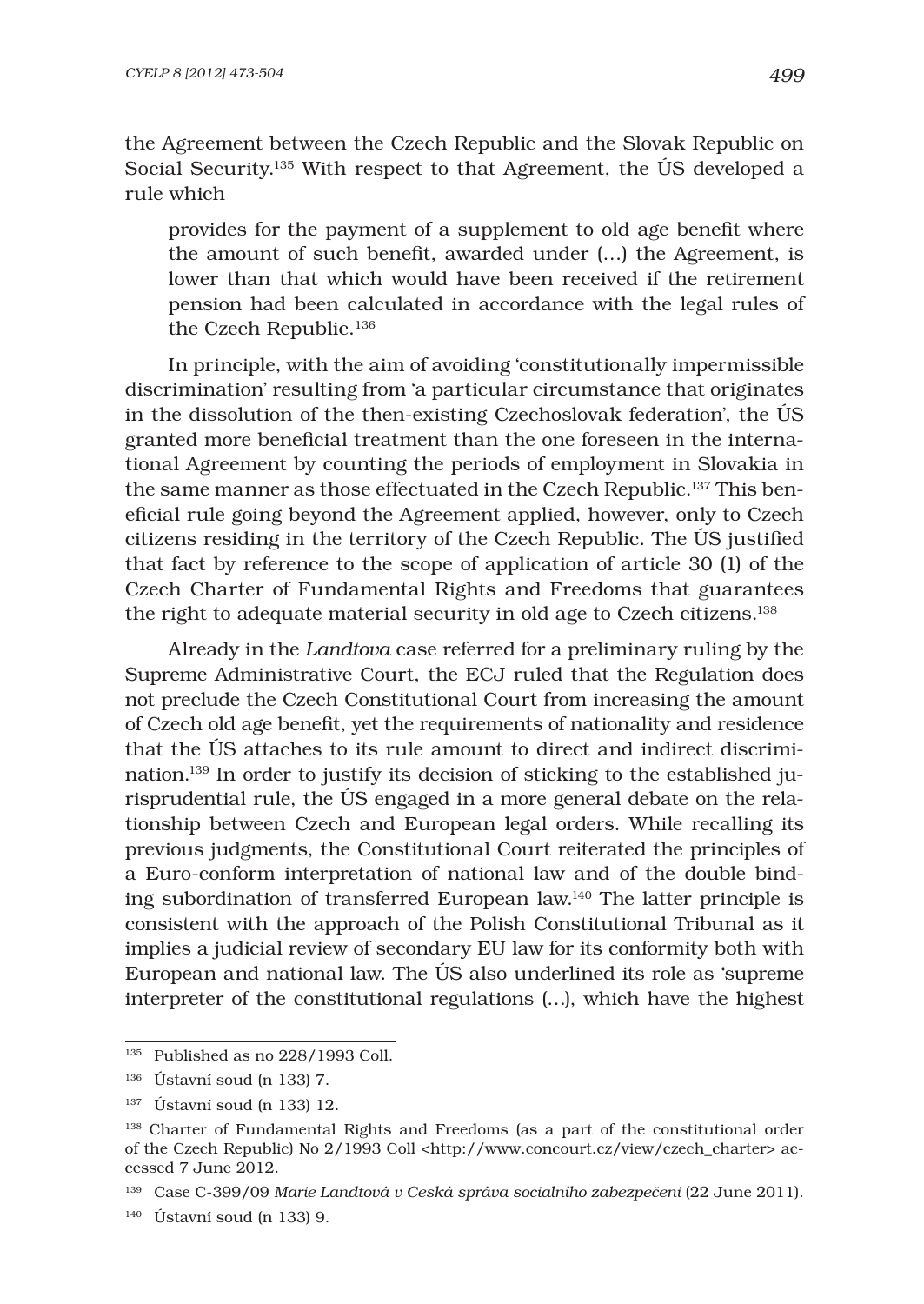the Agreement between the Czech Republic and the Slovak Republic on Social Security.135 With respect to that Agreement, the ÚS developed a rule which

provides for the payment of a supplement to old age benefit where the amount of such benefit, awarded under  $(...)$  the Agreement, is lower than that which would have been received if the retirement pension had been calculated in accordance with the legal rules of the Czech Republic.<sup>136</sup>

In principle, with the aim of avoiding 'constitutionally impermissible discrimination' resulting from 'a particular circumstance that originates in the dissolution of the then-existing Czechoslovak federation', the ÚS granted more beneficial treatment than the one foreseen in the international Agreement by counting the periods of employment in Slovakia in the same manner as those effectuated in the Czech Republic.137 This beneficial rule going beyond the Agreement applied, however, only to Czech citizens residing in the territory of the Czech Republic. The ÚS justified that fact by reference to the scope of application of article 30 (1) of the Czech Charter of Fundamental Rights and Freedoms that guarantees the right to adequate material security in old age to Czech citizens.138

Already in the *Landtova* case referred for a preliminary ruling by the Supreme Administrative Court, the ECJ ruled that the Regulation does not preclude the Czech Constitutional Court from increasing the amount of Czech old age benefit, yet the requirements of nationality and residence that the ÚS attaches to its rule amount to direct and indirect discrimination.139 In order to justify its decision of sticking to the established jurisprudential rule, the ÚS engaged in a more general debate on the relationship between Czech and European legal orders. While recalling its previous judgments, the Constitutional Court reiterated the principles of a Euro-conform interpretation of national law and of the double binding subordination of transferred European law.140 The latter principle is consistent with the approach of the Polish Constitutional Tribunal as it implies a judicial review of secondary EU law for its conformity both with European and national law. The ÚS also underlined its role as 'supreme interpreter of the constitutional regulations (…), which have the highest

 $^{\rm 135}$  Published as no 228/1993 Coll.

<sup>136</sup> Ústavní soud (n 133) 7.

<sup>137</sup> Ústavní soud (n 133) 12.

<sup>138</sup> Charter of Fundamental Rights and Freedoms (as a part of the constitutional order of the Czech Republic) No 2/1993 Coll <http://www.concourt.cz/view/czech\_charter> accessed 7 June 2012.

<sup>139</sup> Case C-399/09 *Marie Landtová v Ceská správa socialního zabezpeËeni* (22 June 2011).

 $140$  Ústavní soud (n 133) 9.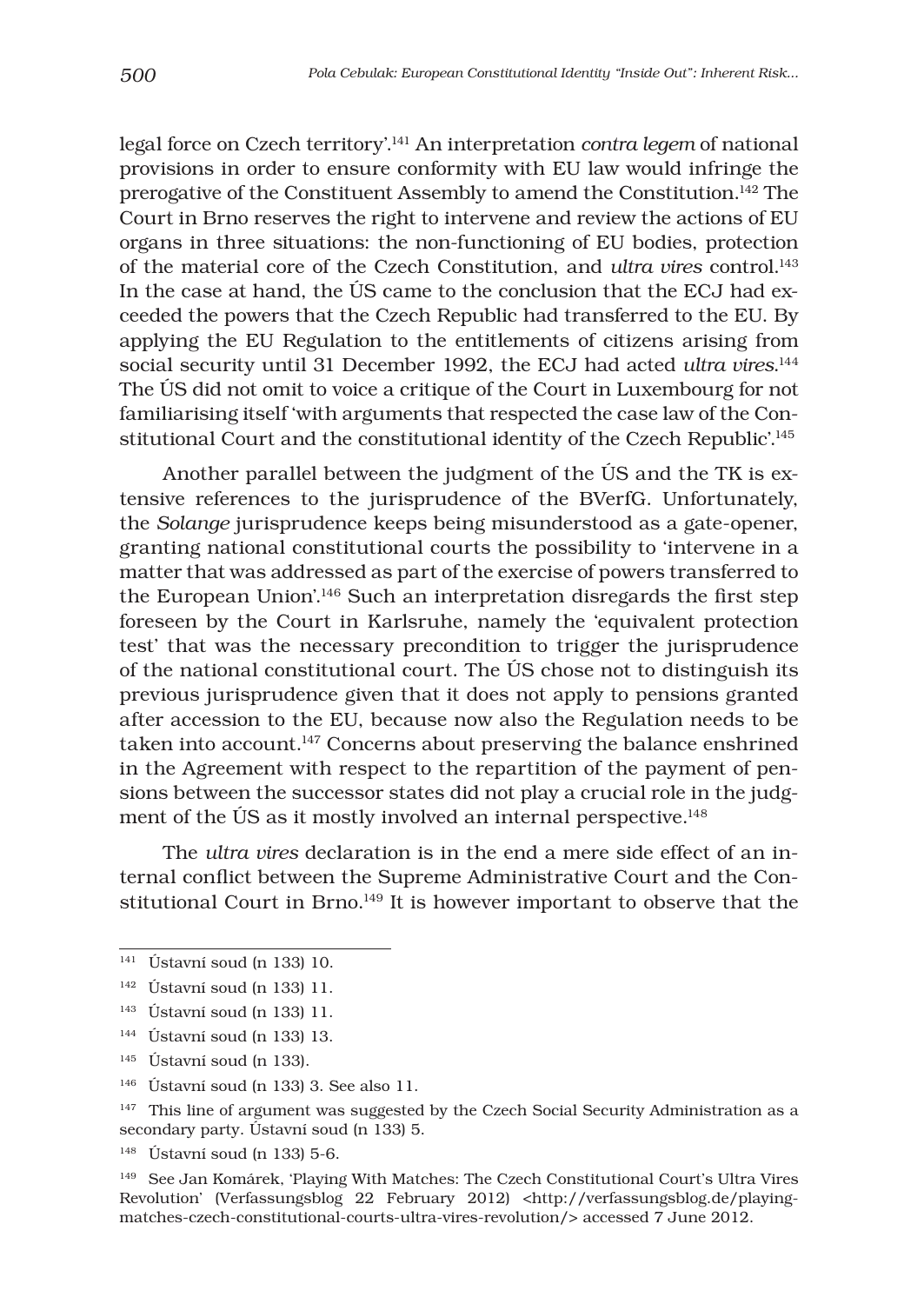legal force on Czech territory'.141 An interpretation *contra legem* of national provisions in order to ensure conformity with EU law would infringe the prerogative of the Constituent Assembly to amend the Constitution.142 The Court in Brno reserves the right to intervene and review the actions of EU organs in three situations: the non-functioning of EU bodies, protection of the material core of the Czech Constitution, and *ultra vires* control.143 In the case at hand, the ÚS came to the conclusion that the ECJ had exceeded the powers that the Czech Republic had transferred to the EU. By applying the EU Regulation to the entitlements of citizens arising from social security until 31 December 1992, the ECJ had acted *ultra vires*. 144 The ÚS did not omit to voice a critique of the Court in Luxembourg for not familiarising itself 'with arguments that respected the case law of the Constitutional Court and the constitutional identity of the Czech Republic'.<sup>145</sup>

Another parallel between the judgment of the ÚS and the TK is extensive references to the jurisprudence of the BVerfG. Unfortunately, the *Solange* jurisprudence keeps being misunderstood as a gate-opener, granting national constitutional courts the possibility to 'intervene in a matter that was addressed as part of the exercise of powers transferred to the European Union'.<sup>146</sup> Such an interpretation disregards the first step foreseen by the Court in Karlsruhe, namely the 'equivalent protection test' that was the necessary precondition to trigger the jurisprudence of the national constitutional court. The ÚS chose not to distinguish its previous jurisprudence given that it does not apply to pensions granted after accession to the EU, because now also the Regulation needs to be taken into account.<sup>147</sup> Concerns about preserving the balance enshrined in the Agreement with respect to the repartition of the payment of pensions between the successor states did not play a crucial role in the judgment of the ÚS as it mostly involved an internal perspective.<sup>148</sup>

The *ultra vires* declaration is in the end a mere side effect of an internal conflict between the Supreme Administrative Court and the Constitutional Court in Brno.<sup>149</sup> It is however important to observe that the

- 145 Ústavní soud (n 133).
- <sup>146</sup> Ústavní soud (n 133) 3. See also 11.

148 Ústavní soud (n 133) 5-6.

 $141$  Ústavní soud (n 133) 10.

<sup>142</sup> Ústavní soud (n 133) 11.

<sup>143</sup> Ústavní soud (n 133) 11.

<sup>144</sup> Ústavní soud (n 133) 13.

<sup>&</sup>lt;sup>147</sup> This line of argument was suggested by the Czech Social Security Administration as a secondary party. Ústavní soud (n 133) 5.

<sup>&</sup>lt;sup>149</sup> See Jan Komárek, 'Playing With Matches: The Czech Constitutional Court's Ultra Vires Revolution' (Verfassungsblog 22 February 2012) <http://verfassungsblog.de/playingmatches-czech-constitutional-courts-ultra-vires-revolution/> accessed 7 June 2012.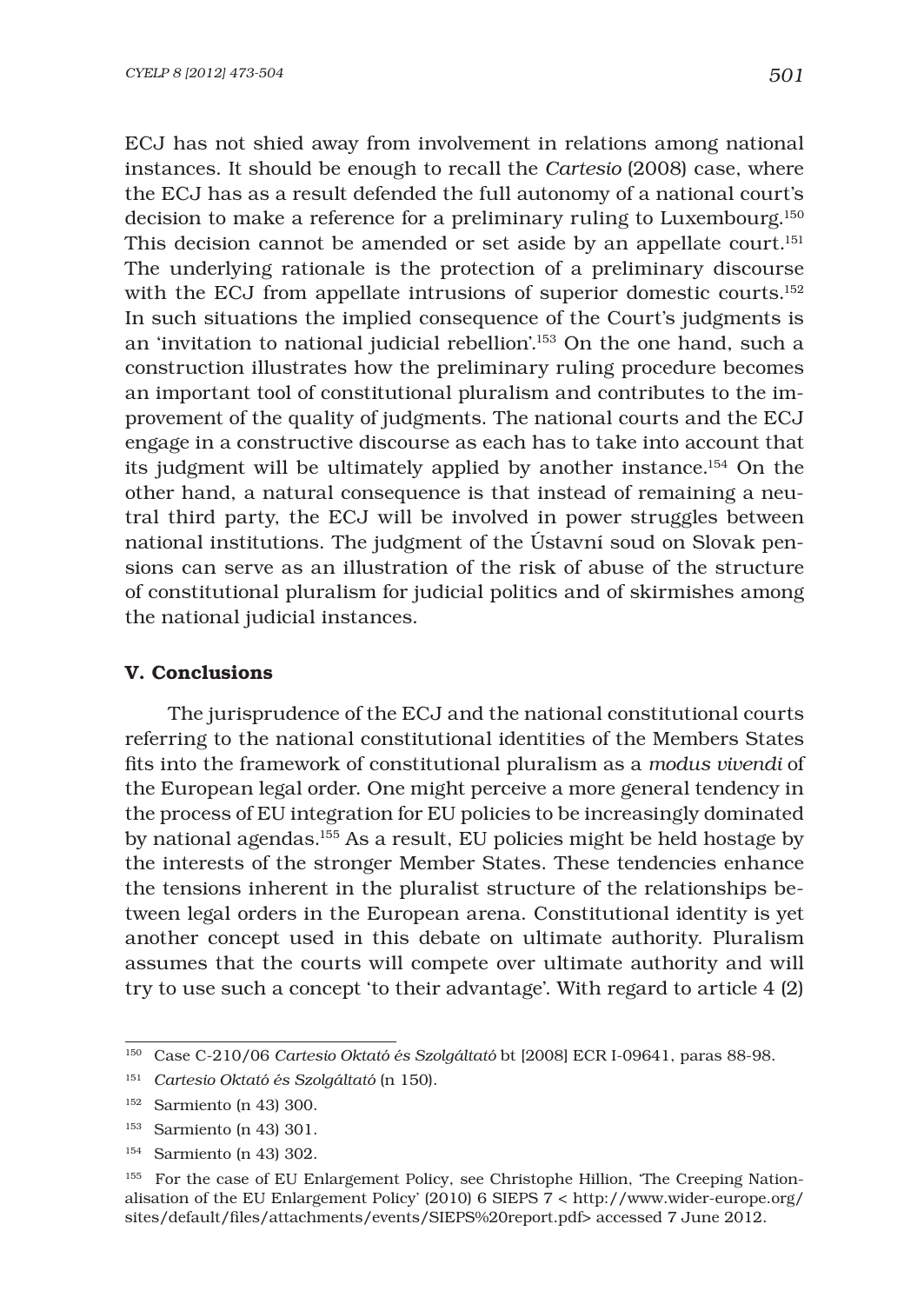ECJ has not shied away from involvement in relations among national instances. It should be enough to recall the *Cartesio* (2008) case, where the ECJ has as a result defended the full autonomy of a national court's decision to make a reference for a preliminary ruling to Luxembourg.150 This decision cannot be amended or set aside by an appellate court.<sup>151</sup> The underlying rationale is the protection of a preliminary discourse with the ECJ from appellate intrusions of superior domestic courts.<sup>152</sup> In such situations the implied consequence of the Court's judgments is an 'invitation to national judicial rebellion'.153 On the one hand, such a construction illustrates how the preliminary ruling procedure becomes an important tool of constitutional pluralism and contributes to the improvement of the quality of judgments. The national courts and the ECJ engage in a constructive discourse as each has to take into account that its judgment will be ultimately applied by another instance.154 On the other hand, a natural consequence is that instead of remaining a neutral third party, the ECJ will be involved in power struggles between national institutions. The judgment of the Ústavní soud on Slovak pensions can serve as an illustration of the risk of abuse of the structure of constitutional pluralism for judicial politics and of skirmishes among the national judicial instances.

### V. Conclusions

The jurisprudence of the ECJ and the national constitutional courts referring to the national constitutional identities of the Members States fits into the framework of constitutional pluralism as a *modus vivendi* of the European legal order. One might perceive a more general tendency in the process of EU integration for EU policies to be increasingly dominated by national agendas.155 As a result, EU policies might be held hostage by the interests of the stronger Member States. These tendencies enhance the tensions inherent in the pluralist structure of the relationships between legal orders in the European arena. Constitutional identity is yet another concept used in this debate on ultimate authority. Pluralism assumes that the courts will compete over ultimate authority and will try to use such a concept 'to their advantage'. With regard to article 4 (2)

<sup>150</sup> Case C-210/06 *Cartesio Oktató és Szolgáltató* bt [2008] ECR I-09641, paras 88-98.

<sup>151</sup> *Cartesio Oktató és Szolgáltató* (n 150).

<sup>152</sup> Sarmiento (n 43) 300.

<sup>153</sup> Sarmiento (n 43) 301.

<sup>154</sup> Sarmiento (n 43) 302.

<sup>155</sup> For the case of EU Enlargement Policy, see Christophe Hillion, 'The Creeping Nationalisation of the EU Enlargement Policy' (2010) 6 SIEPS 7 < http://www.wider-europe.org/ sites/default/files/attachments/events/SIEPS%20report.pdf> accessed 7 June 2012.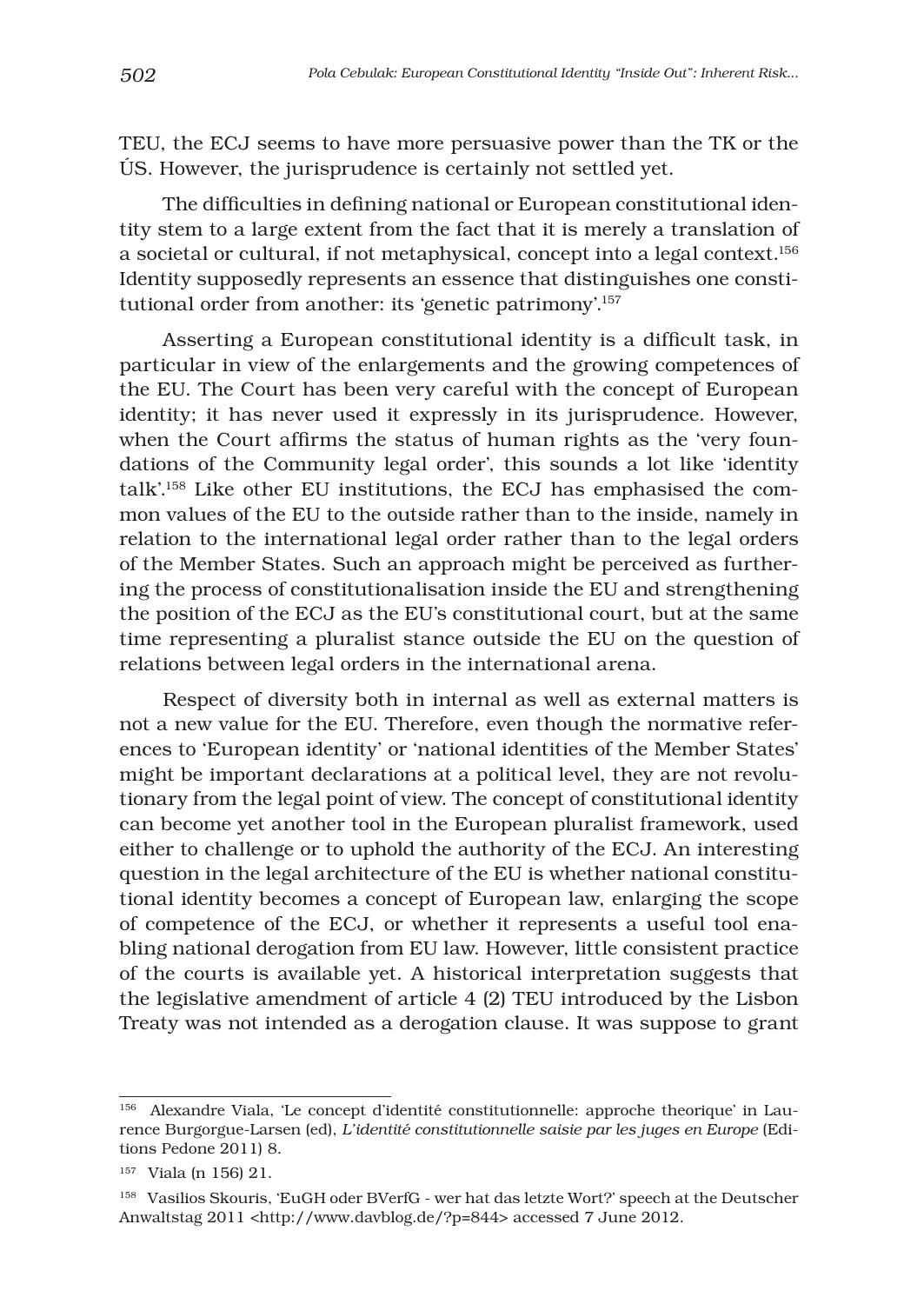TEU, the ECJ seems to have more persuasive power than the TK or the ÚS. However, the jurisprudence is certainly not settled yet.

The difficulties in defining national or European constitutional identity stem to a large extent from the fact that it is merely a translation of a societal or cultural, if not metaphysical, concept into a legal context.156 Identity supposedly represents an essence that distinguishes one constitutional order from another: its 'genetic patrimony'.157

Asserting a European constitutional identity is a difficult task, in particular in view of the enlargements and the growing competences of the EU. The Court has been very careful with the concept of European identity; it has never used it expressly in its jurisprudence. However, when the Court affirms the status of human rights as the 'very foundations of the Community legal order', this sounds a lot like 'identity talk'.158 Like other EU institutions, the ECJ has emphasised the common values of the EU to the outside rather than to the inside, namely in relation to the international legal order rather than to the legal orders of the Member States. Such an approach might be perceived as furthering the process of constitutionalisation inside the EU and strengthening the position of the ECJ as the EU's constitutional court, but at the same time representing a pluralist stance outside the EU on the question of relations between legal orders in the international arena.

Respect of diversity both in internal as well as external matters is not a new value for the EU. Therefore, even though the normative references to 'European identity' or 'national identities of the Member States' might be important declarations at a political level, they are not revolutionary from the legal point of view. The concept of constitutional identity can become yet another tool in the European pluralist framework, used either to challenge or to uphold the authority of the ECJ. An interesting question in the legal architecture of the EU is whether national constitutional identity becomes a concept of European law, enlarging the scope of competence of the ECJ, or whether it represents a useful tool enabling national derogation from EU law. However, little consistent practice of the courts is available yet. A historical interpretation suggests that the legislative amendment of article 4 (2) TEU introduced by the Lisbon Treaty was not intended as a derogation clause. It was suppose to grant

<sup>156</sup> Alexandre Viala, 'Le concept d'identité constitutionnelle: approche theorique' in Laurence Burgorgue-Larsen (ed), *L'identité constitutionnelle saisie par les juges en Europe* (Editions Pedone 2011) 8.

<sup>157</sup> Viala (n 156) 21.

<sup>158</sup> Vasilios Skouris, 'EuGH oder BVerfG - wer hat das letzte Wort?' speech at the Deutscher Anwaltstag 2011 <http://www.davblog.de/?p=844> accessed 7 June 2012.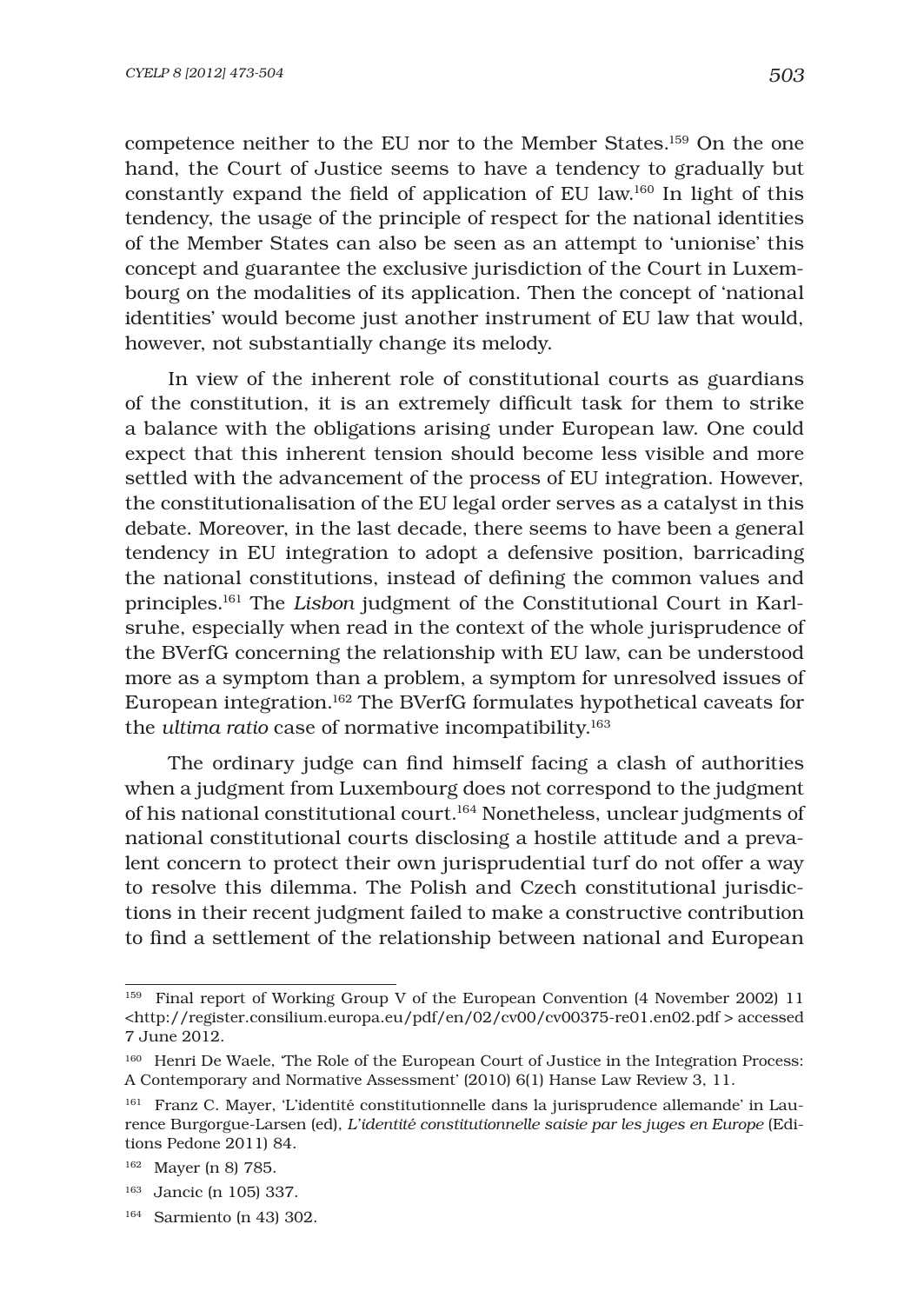competence neither to the EU nor to the Member States.159 On the one hand, the Court of Justice seems to have a tendency to gradually but constantly expand the field of application of EU law.<sup>160</sup> In light of this tendency, the usage of the principle of respect for the national identities of the Member States can also be seen as an attempt to 'unionise' this concept and guarantee the exclusive jurisdiction of the Court in Luxembourg on the modalities of its application. Then the concept of 'national identities' would become just another instrument of EU law that would, however, not substantially change its melody.

In view of the inherent role of constitutional courts as guardians of the constitution, it is an extremely difficult task for them to strike a balance with the obligations arising under European law. One could expect that this inherent tension should become less visible and more settled with the advancement of the process of EU integration. However, the constitutionalisation of the EU legal order serves as a catalyst in this debate. Moreover, in the last decade, there seems to have been a general tendency in EU integration to adopt a defensive position, barricading the national constitutions, instead of defining the common values and principles.161 The *Lisbon* judgment of the Constitutional Court in Karlsruhe, especially when read in the context of the whole jurisprudence of the BVerfG concerning the relationship with EU law, can be understood more as a symptom than a problem, a symptom for unresolved issues of European integration.162 The BVerfG formulates hypothetical caveats for the *ultima ratio* case of normative incompatibility.<sup>163</sup>

The ordinary judge can find himself facing a clash of authorities when a judgment from Luxembourg does not correspond to the judgment of his national constitutional court.164 Nonetheless, unclear judgments of national constitutional courts disclosing a hostile attitude and a prevalent concern to protect their own jurisprudential turf do not offer a way to resolve this dilemma. The Polish and Czech constitutional jurisdictions in their recent judgment failed to make a constructive contribution to find a settlement of the relationship between national and European

<sup>159</sup> Final report of Working Group V of the European Convention (4 November 2002) 11 <http://register.consilium.europa.eu/pdf/en/02/cv00/cv00375-re01.en02.pdf > accessed 7 June 2012.

<sup>&</sup>lt;sup>160</sup> Henri De Waele, 'The Role of the European Court of Justice in the Integration Process: A Contemporary and Normative Assessment' (2010) 6(1) Hanse Law Review 3, 11.

<sup>&</sup>lt;sup>161</sup> Franz C. Mayer, 'L'identité constitutionnelle dans la jurisprudence allemande' in Laurence Burgorgue-Larsen (ed), *L'identité constitutionnelle saisie par les juges en Europe* (Editions Pedone 2011) 84.

<sup>162</sup> Mayer (n 8) 785.

<sup>163</sup> Jancic (n 105) 337.

<sup>164</sup> Sarmiento (n 43) 302.